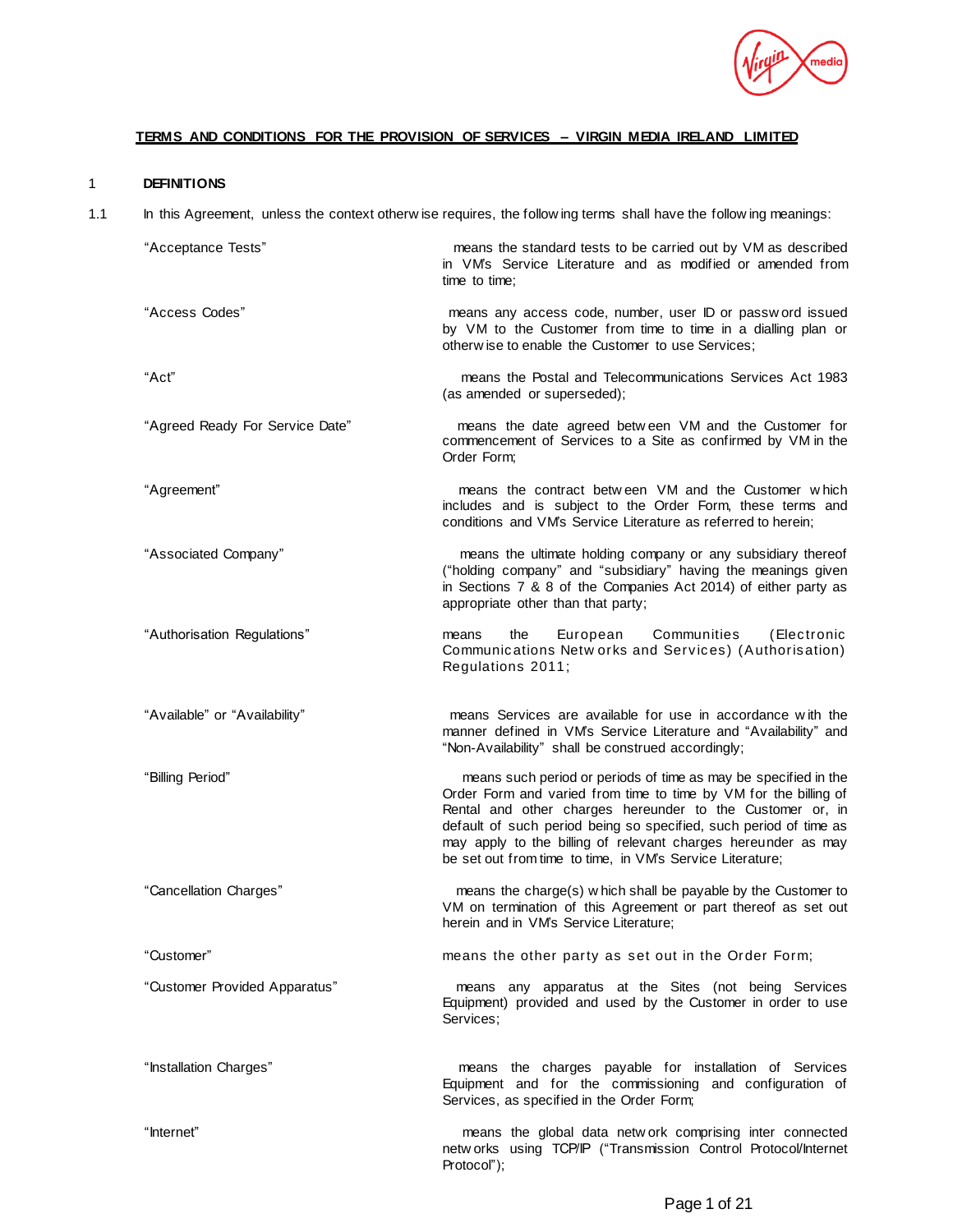

# **TERMS AND CONDITIONS FOR THE PROVISION OF SERVICES – VIRGIN MEDIA IRELAND LIMITED**

# 1 **DEFINITIONS**

1.1 In this Agreement, unless the context otherw ise requires, the follow ing terms shall have the follow ing meanings:

| "Acceptance Tests"              | means the standard tests to be carried out by VM as described<br>in VM's Service Literature and as modified or amended from<br>time to time:                                                                                                                                                                                                                                                        |
|---------------------------------|-----------------------------------------------------------------------------------------------------------------------------------------------------------------------------------------------------------------------------------------------------------------------------------------------------------------------------------------------------------------------------------------------------|
| "Access Codes"                  | means any access code, number, user ID or password issued<br>by VM to the Customer from time to time in a dialling plan or<br>otherw ise to enable the Customer to use Services;                                                                                                                                                                                                                    |
| "Act"                           | means the Postal and Telecommunications Services Act 1983<br>(as amended or superseded);                                                                                                                                                                                                                                                                                                            |
| "Agreed Ready For Service Date" | means the date agreed between VM and the Customer for<br>commencement of Services to a Site as confirmed by VM in the<br>Order Form:                                                                                                                                                                                                                                                                |
| "Agreement"                     | means the contract between VM and the Customer which<br>includes and is subject to the Order Form, these terms and<br>conditions and VM's Service Literature as referred to herein;                                                                                                                                                                                                                 |
| "Associated Company"            | means the ultimate holding company or any subsidiary thereof<br>("holding company" and "subsidiary" having the meanings given<br>in Sections 7 & 8 of the Companies Act 2014) of either party as<br>appropriate other than that party;                                                                                                                                                              |
| "Authorisation Regulations"     | the<br>Communities<br>(Electronic<br>means<br>European<br>Communications Netw orks and Services) (Authorisation)<br>Regulations 2011;                                                                                                                                                                                                                                                               |
| "Available" or "Availability"   | means Services are available for use in accordance with the<br>manner defined in VM's Service Literature and "Availability" and<br>"Non-Availability" shall be construed accordingly;                                                                                                                                                                                                               |
| "Billing Period"                | means such period or periods of time as may be specified in the<br>Order Form and varied from time to time by VM for the billing of<br>Rental and other charges hereunder to the Customer or, in<br>default of such period being so specified, such period of time as<br>may apply to the billing of relevant charges hereunder as may<br>be set out from time to time, in VM's Service Literature; |
| "Cancellation Charges"          | means the charge(s) w hich shall be payable by the Customer to<br>VM on termination of this Agreement or part thereof as set out<br>herein and in VM's Service Literature;                                                                                                                                                                                                                          |
| "Customer"                      | means the other party as set out in the Order Form;                                                                                                                                                                                                                                                                                                                                                 |
| "Customer Provided Apparatus"   | means any apparatus at the Sites (not being Services<br>Equipment) provided and used by the Customer in order to use<br>Services;                                                                                                                                                                                                                                                                   |
| "Installation Charges"          | means the charges payable for installation of Services<br>Equipment and for the commissioning and configuration of<br>Services, as specified in the Order Form;                                                                                                                                                                                                                                     |
| "Internet"                      | means the global data network comprising inter connected<br>networks using TCP/IP ("Transmission Control Protocol/Internet<br>Protocol");                                                                                                                                                                                                                                                           |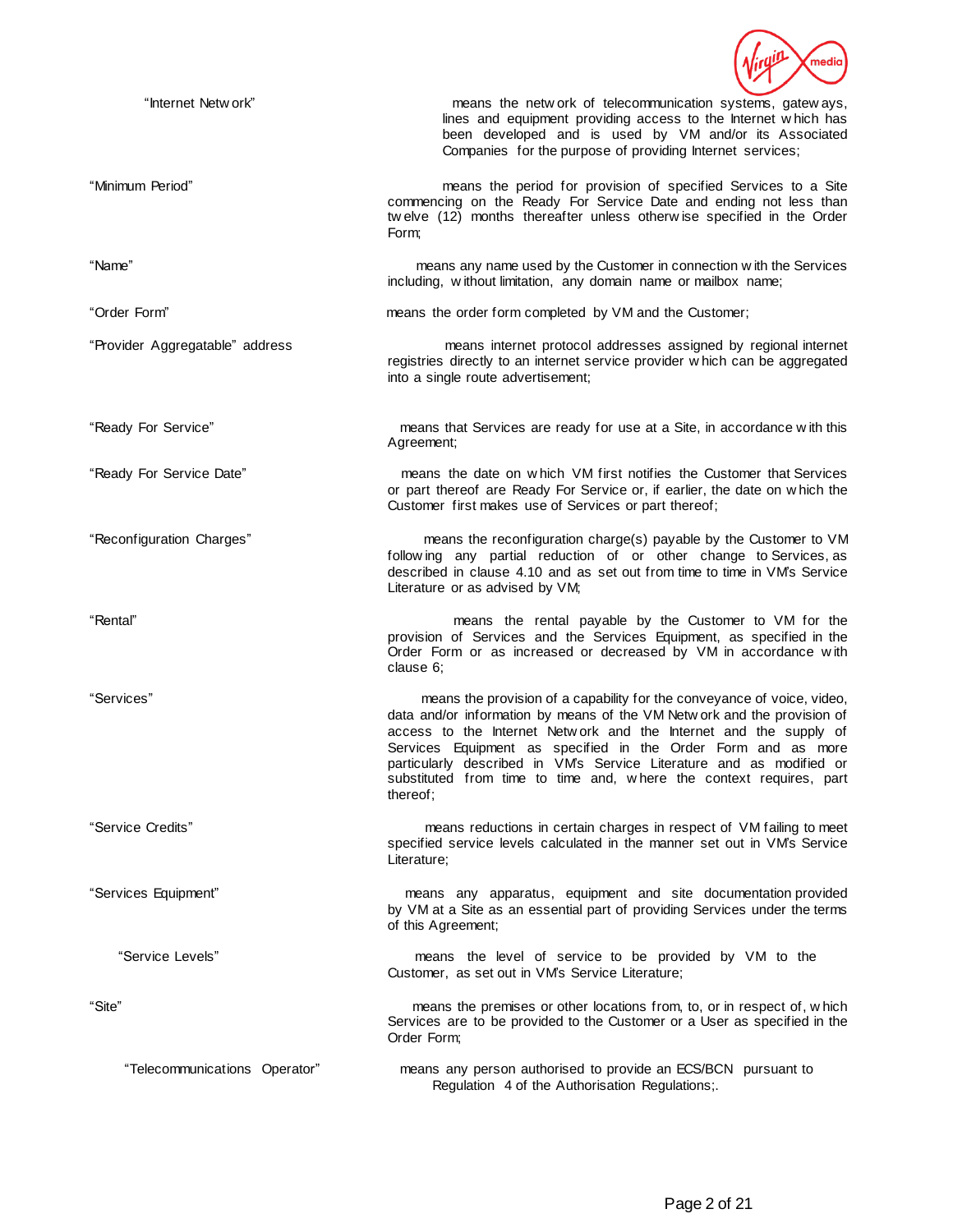

| "Internet Netw ork"             | means the network of telecommunication systems, gateways,<br>lines and equipment providing access to the Internet which has<br>been developed and is used by VM and/or its Associated<br>Companies for the purpose of providing Internet services;                                                                                                                                                                                                  |
|---------------------------------|-----------------------------------------------------------------------------------------------------------------------------------------------------------------------------------------------------------------------------------------------------------------------------------------------------------------------------------------------------------------------------------------------------------------------------------------------------|
| "Minimum Period"                | means the period for provision of specified Services to a Site<br>commencing on the Ready For Service Date and ending not less than<br>twelve (12) months thereafter unless otherwise specified in the Order<br>Form;                                                                                                                                                                                                                               |
| "Name"                          | means any name used by the Customer in connection with the Services<br>including, without limitation, any domain name or mailbox name;                                                                                                                                                                                                                                                                                                              |
| "Order Form"                    | means the order form completed by VM and the Customer;                                                                                                                                                                                                                                                                                                                                                                                              |
| "Provider Aggregatable" address | means internet protocol addresses assigned by regional internet<br>registries directly to an internet service provider which can be aggregated<br>into a single route advertisement;                                                                                                                                                                                                                                                                |
| "Ready For Service"             | means that Services are ready for use at a Site, in accordance with this<br>Agreement;                                                                                                                                                                                                                                                                                                                                                              |
| "Ready For Service Date"        | means the date on which VM first notifies the Customer that Services<br>or part thereof are Ready For Service or, if earlier, the date on which the<br>Customer first makes use of Services or part thereof;                                                                                                                                                                                                                                        |
| "Reconfiguration Charges"       | means the reconfiguration charge(s) payable by the Customer to VM<br>following any partial reduction of or other change to Services, as<br>described in clause 4.10 and as set out from time to time in VM's Service<br>Literature or as advised by VM;                                                                                                                                                                                             |
| "Rental"                        | means the rental payable by the Customer to VM for the<br>provision of Services and the Services Equipment, as specified in the<br>Order Form or as increased or decreased by VM in accordance with<br>clause 6:                                                                                                                                                                                                                                    |
| "Services"                      | means the provision of a capability for the conveyance of voice, video,<br>data and/or information by means of the VM Network and the provision of<br>access to the Internet Network and the Internet and the supply of<br>Services Equipment as specified in the Order Form and as more<br>particularly described in VM's Service Literature and as modified or<br>substituted from time to time and, where the context requires, part<br>thereof; |
| "Service Credits"               | means reductions in certain charges in respect of VM failing to meet<br>specified service levels calculated in the manner set out in VM's Service<br>Literature;                                                                                                                                                                                                                                                                                    |
| "Services Equipment"            | means any apparatus, equipment and site documentation provided<br>by VM at a Site as an essential part of providing Services under the terms<br>of this Agreement;                                                                                                                                                                                                                                                                                  |
| "Service Levels"                | means the level of service to be provided by VM to the<br>Customer, as set out in VM's Service Literature;                                                                                                                                                                                                                                                                                                                                          |
| "Site"                          | means the premises or other locations from, to, or in respect of, which<br>Services are to be provided to the Customer or a User as specified in the<br>Order Form;                                                                                                                                                                                                                                                                                 |
| "Telecommunications Operator"   | means any person authorised to provide an ECS/BCN pursuant to<br>Regulation 4 of the Authorisation Regulations;.                                                                                                                                                                                                                                                                                                                                    |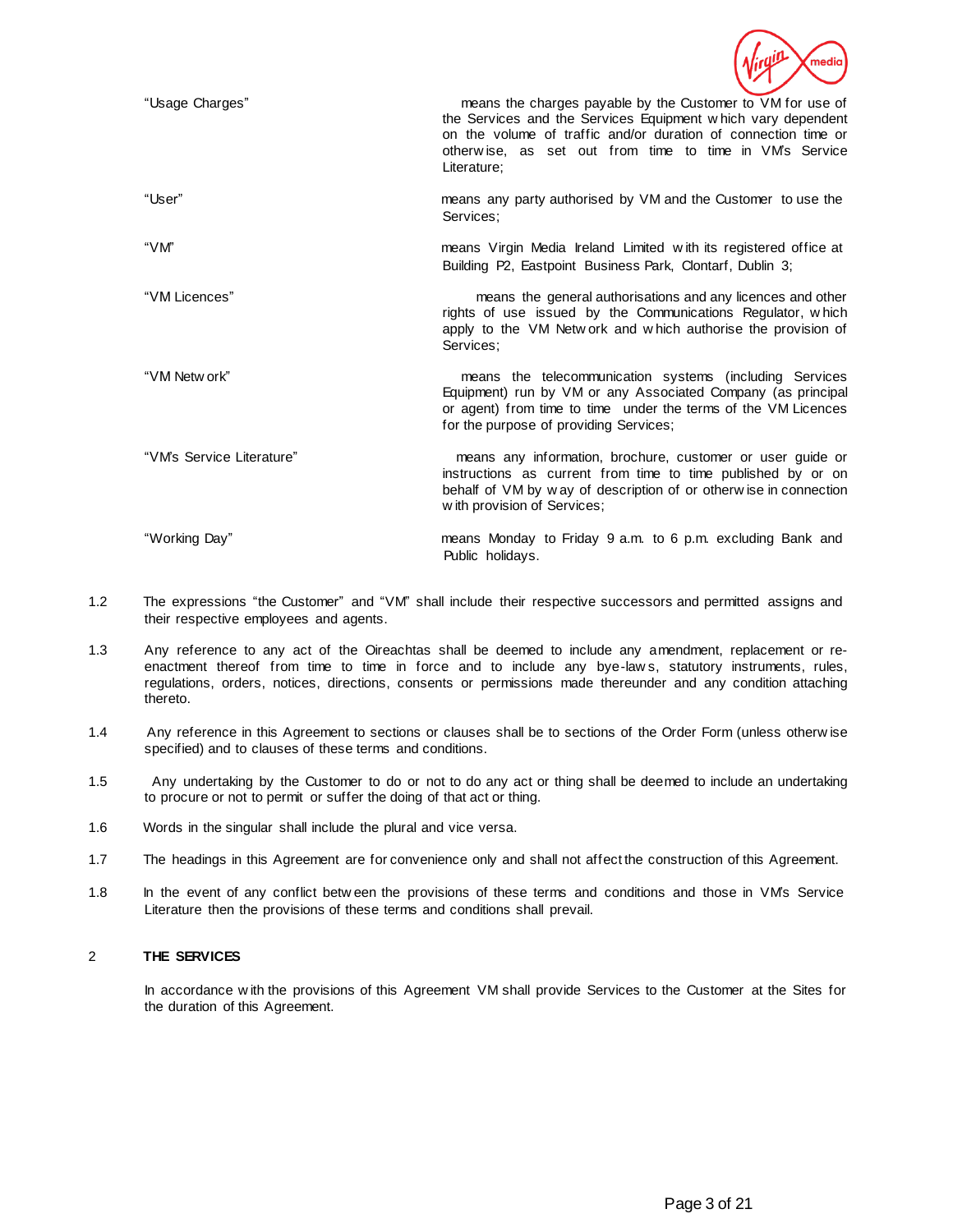

| "Usage Charges"           | means the charges payable by the Customer to VM for use of<br>the Services and the Services Equipment which vary dependent<br>on the volume of traffic and/or duration of connection time or<br>otherwise, as set out from time to time in VM's Service<br>Literature: |
|---------------------------|------------------------------------------------------------------------------------------------------------------------------------------------------------------------------------------------------------------------------------------------------------------------|
| "User"                    | means any party authorised by VM and the Customer to use the<br>Services:                                                                                                                                                                                              |
| "VM"                      | means Virgin Media Ireland Limited with its registered office at<br>Building P2, Eastpoint Business Park, Clontarf, Dublin 3;                                                                                                                                          |
| "VM Licences"             | means the general authorisations and any licences and other<br>rights of use issued by the Communications Regulator, which<br>apply to the VM Network and which authorise the provision of<br>Services:                                                                |
| "VM Netw ork"             | means the telecommunication systems (including Services<br>Equipment) run by VM or any Associated Company (as principal<br>or agent) from time to time under the terms of the VM Licences<br>for the purpose of providing Services;                                    |
| "VM's Service Literature" | means any information, brochure, customer or user guide or<br>instructions as current from time to time published by or on<br>behalf of VM by way of description of or otherwise in connection<br>with provision of Services;                                          |
| "Working Day"             | means Monday to Friday 9 a.m. to 6 p.m. excluding Bank and<br>Public holidays.                                                                                                                                                                                         |

- 1.2 The expressions "the Customer" and "VM" shall include their respective successors and permitted assigns and their respective employees and agents.
- 1.3 Any reference to any act of the Oireachtas shall be deemed to include any amendment, replacement or reenactment thereof from time to time in force and to include any bye-law s, statutory instruments, rules, regulations, orders, notices, directions, consents or permissions made thereunder and any condition attaching thereto.
- 1.4 Any reference in this Agreement to sections or clauses shall be to sections of the Order Form (unless otherw ise specified) and to clauses of these terms and conditions.
- 1.5 Any undertaking by the Customer to do or not to do any act or thing shall be deemed to include an undertaking to procure or not to permit or suffer the doing of that act or thing.
- 1.6 Words in the singular shall include the plural and vice versa.
- 1.7 The headings in this Agreement are for convenience only and shall not affect the construction of this Agreement.
- 1.8 In the event of any conflict betw een the provisions of these terms and conditions and those in VM's Service Literature then the provisions of these terms and conditions shall prevail.

# 2 **THE SERVICES**

In accordance with the provisions of this Agreement VM shall provide Services to the Customer at the Sites for the duration of this Agreement.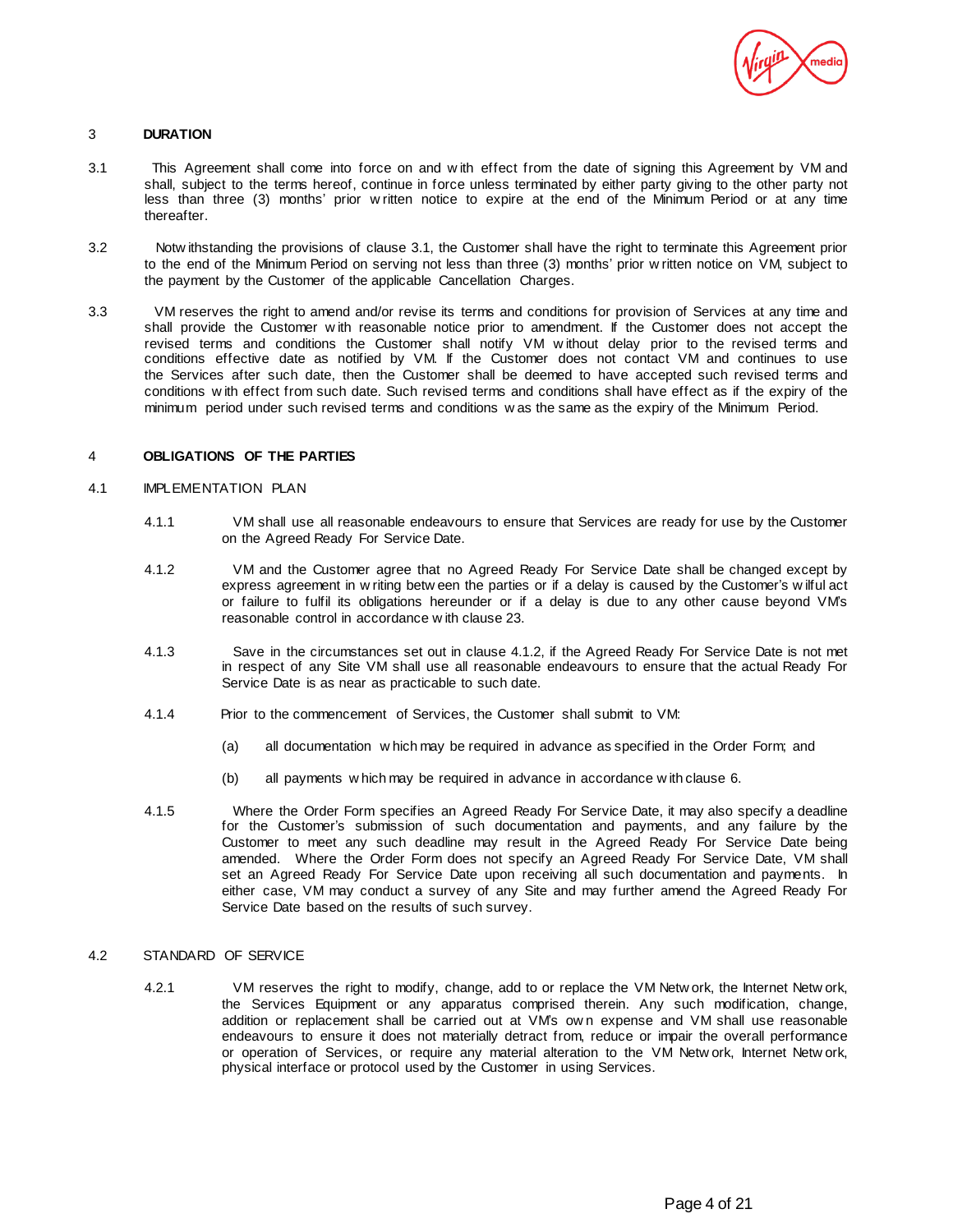

### 3 **DURATION**

- 3.1 This Agreement shall come into force on and w ith effect from the date of signing this Agreement by VM and shall, subject to the terms hereof, continue in force unless terminated by either party giving to the other party not less than three (3) months' prior w ritten notice to expire at the end of the Minimum Period or at any time thereafter.
- 3.2 Notw ithstanding the provisions of clause 3.1, the Customer shall have the right to terminate this Agreement prior to the end of the Minimum Period on serving not less than three (3) months' prior w ritten notice on VM, subject to the payment by the Customer of the applicable Cancellation Charges.
- 3.3 VM reserves the right to amend and/or revise its terms and conditions for provision of Services at any time and shall provide the Customer w ith reasonable notice prior to amendment. If the Customer does not accept the revised terms and conditions the Customer shall notify VM w ithout delay prior to the revised terms and conditions effective date as notified by VM. If the Customer does not contact VM and continues to use the Services after such date, then the Customer shall be deemed to have accepted such revised terms and conditions w ith effect from such date. Such revised terms and conditions shall have effect as if the expiry of the minimum period under such revised terms and conditions w as the same as the expiry of the Minimum Period.

# 4 **OBLIGATIONS OF THE PARTIES**

### 4.1 IMPLEMENTATION PLAN

- 4.1.1 VM shall use all reasonable endeavours to ensure that Services are ready for use by the Customer on the Agreed Ready For Service Date.
- 4.1.2 VM and the Customer agree that no Agreed Ready For Service Date shall be changed except by express agreement in w riting betw een the parties or if a delay is caused by the Customer's w ilful act or failure to fulfil its obligations hereunder or if a delay is due to any other cause beyond VM's reasonable control in accordance w ith clause 23.
- 4.1.3 Save in the circumstances set out in clause 4.1.2, if the Agreed Ready For Service Date is not met in respect of any Site VM shall use all reasonable endeavours to ensure that the actual Ready For Service Date is as near as practicable to such date.
- 4.1.4 Prior to the commencement of Services, the Customer shall submit to VM:
	- (a) all documentation w hich may be required in advance as specified in the Order Form; and
	- (b) all payments w hich may be required in advance in accordance w ith clause 6.
- 4.1.5 Where the Order Form specifies an Agreed Ready For Service Date, it may also specify a deadline for the Customer's submission of such documentation and payments, and any failure by the Customer to meet any such deadline may result in the Agreed Ready For Service Date being amended. Where the Order Form does not specify an Agreed Ready For Service Date, VM shall set an Agreed Ready For Service Date upon receiving all such documentation and payments. In either case, VM may conduct a survey of any Site and may further amend the Agreed Ready For Service Date based on the results of such survey.

# 4.2 STANDARD OF SERVICE

4.2.1 VM reserves the right to modify, change, add to or replace the VM Netw ork, the Internet Netw ork, the Services Equipment or any apparatus comprised therein. Any such modification, change, addition or replacement shall be carried out at VM's ow n expense and VM shall use reasonable endeavours to ensure it does not materially detract from, reduce or impair the overall performance or operation of Services, or require any material alteration to the VM Netw ork, Internet Netw ork, physical interface or protocol used by the Customer in using Services.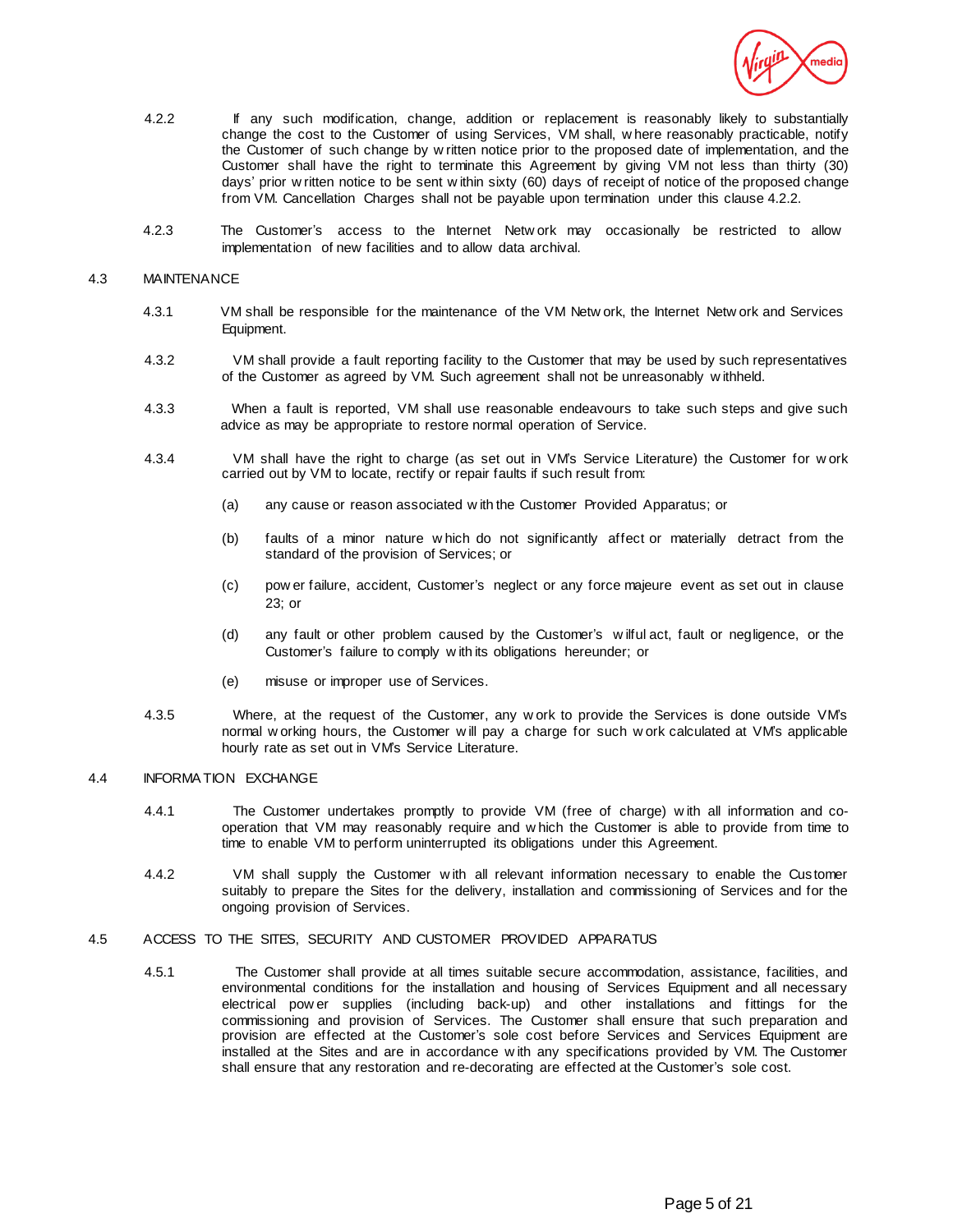

- 4.2.2 If any such modification, change, addition or replacement is reasonably likely to substantially change the cost to the Customer of using Services, VM shall, w here reasonably practicable, notify the Customer of such change by w ritten notice prior to the proposed date of implementation, and the Customer shall have the right to terminate this Agreement by giving VM not less than thirty (30) days' prior w ritten notice to be sent w ithin sixty (60) days of receipt of notice of the proposed change from VM. Cancellation Charges shall not be payable upon termination under this clause 4.2.2.
- 4.2.3 The Customer's access to the Internet Netw ork may occasionally be restricted to allow implementation of new facilities and to allow data archival.

#### 4.3 MAINTENANCE

- 4.3.1 VM shall be responsible for the maintenance of the VM Netw ork, the Internet Netw ork and Services Equipment.
- 4.3.2 VM shall provide a fault reporting facility to the Customer that may be used by such representatives of the Customer as agreed by VM. Such agreement shall not be unreasonably w ithheld.
- 4.3.3 When a fault is reported, VM shall use reasonable endeavours to take such steps and give such advice as may be appropriate to restore normal operation of Service.
- 4.3.4 VM shall have the right to charge (as set out in VM's Service Literature) the Customer for w ork carried out by VM to locate, rectify or repair faults if such result from:
	- (a) any cause or reason associated w ith the Customer Provided Apparatus; or
	- (b) faults of a minor nature w hich do not significantly affect or materially detract from the standard of the provision of Services; or
	- (c) pow er failure, accident, Customer's neglect or any force majeure event as set out in clause 23; or
	- (d) any fault or other problem caused by the Customer's w ilful act, fault or negligence, or the Customer's failure to comply w ith its obligations hereunder; or
	- (e) misuse or improper use of Services.
- 4.3.5 Where, at the request of the Customer, any w ork to provide the Services is done outside VM's normal w orking hours, the Customer w ill pay a charge for such w ork calculated at VM's applicable hourly rate as set out in VM's Service Literature.

# 4.4 INFORMATION EXCHANGE

- 4.4.1 The Customer undertakes promptly to provide VM (free of charge) with all information and cooperation that VM may reasonably require and w hich the Customer is able to provide from time to time to enable VM to perform uninterrupted its obligations under this Agreement.
- 4.4.2 VM shall supply the Customer w ith all relevant information necessary to enable the Cus tomer suitably to prepare the Sites for the delivery, installation and commissioning of Services and for the ongoing provision of Services.
- 4.5 ACCESS TO THE SITES, SECURITY AND CUSTOMER PROVIDED APPARATUS
	- 4.5.1 The Customer shall provide at all times suitable secure accommodation, assistance, facilities, and environmental conditions for the installation and housing of Services Equipment and all necessary electrical pow er supplies (including back-up) and other installations and fittings for the commissioning and provision of Services. The Customer shall ensure that such preparation and provision are effected at the Customer's sole cost before Services and Services Equipment are installed at the Sites and are in accordance w ith any specifications provided by VM. The Customer shall ensure that any restoration and re-decorating are effected at the Customer's sole cost.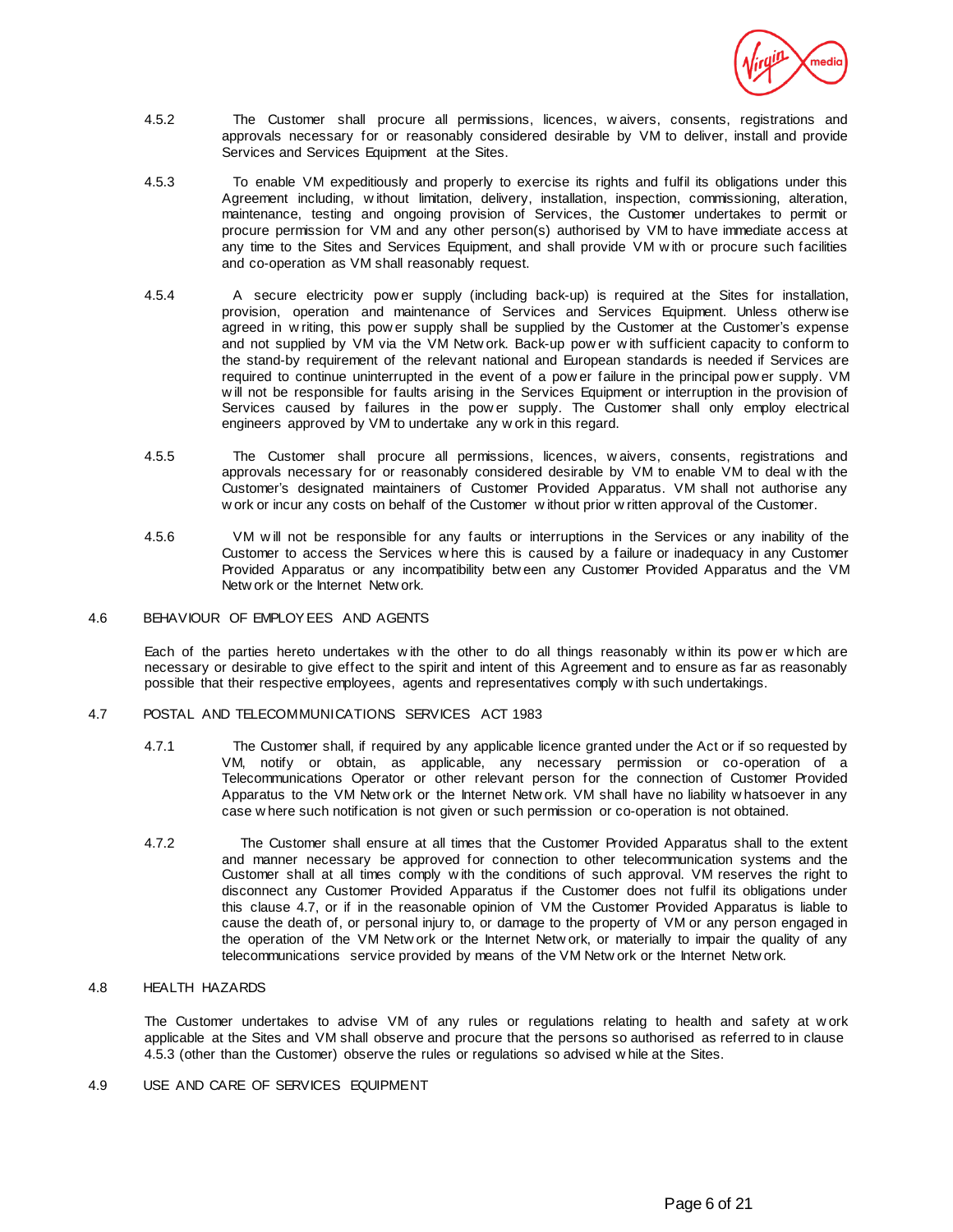

- 4.5.2 The Customer shall procure all permissions, licences, w aivers, consents, registrations and approvals necessary for or reasonably considered desirable by VM to deliver, install and provide Services and Services Equipment at the Sites.
- 4.5.3 To enable VM expeditiously and properly to exercise its rights and fulfil its obligations under this Agreement including, w ithout limitation, delivery, installation, inspection, commissioning, alteration, maintenance, testing and ongoing provision of Services, the Customer undertakes to permit or procure permission for VM and any other person(s) authorised by VM to have immediate access at any time to the Sites and Services Equipment, and shall provide VM w ith or procure such facilities and co-operation as VM shall reasonably request.
- 4.5.4 A secure electricity pow er supply (including back-up) is required at the Sites for installation, provision, operation and maintenance of Services and Services Equipment. Unless otherw ise agreed in w riting, this pow er supply shall be supplied by the Customer at the Customer's expense and not supplied by VM via the VM Netw ork. Back-up pow er w ith sufficient capacity to conform to the stand-by requirement of the relevant national and European standards is needed if Services are required to continue uninterrupted in the event of a pow er failure in the principal pow er supply. VM w ill not be responsible for faults arising in the Services Equipment or interruption in the provision of Services caused by failures in the pow er supply. The Customer shall only employ electrical engineers approved by VM to undertake any w ork in this regard.
- 4.5.5 The Customer shall procure all permissions, licences, w aivers, consents, registrations and approvals necessary for or reasonably considered desirable by VM to enable VM to deal w ith the Customer's designated maintainers of Customer Provided Apparatus. VM shall not authorise any w ork or incur any costs on behalf of the Customer w ithout prior w ritten approval of the Customer.
- 4.5.6 VM w ill not be responsible for any faults or interruptions in the Services or any inability of the Customer to access the Services w here this is caused by a failure or inadequacy in any Customer Provided Apparatus or any incompatibility betw een any Customer Provided Apparatus and the VM Netw ork or the Internet Netw ork.
- 4.6 BEHAVIOUR OF EMPLOYEES AND AGENTS

Each of the parties hereto undertakes w ith the other to do all things reasonably w ithin its pow er w hich are necessary or desirable to give effect to the spirit and intent of this Agreement and to ensure as far as reasonably possible that their respective employees, agents and representatives comply w ith such undertakings.

- 4.7 POSTAL AND TELECOMMUNICATIONS SERVICES ACT 1983
	- 4.7.1 The Customer shall, if required by any applicable licence granted under the Act or if so requested by VM, notify or obtain, as applicable, any necessary permission or co-operation of a Telecommunications Operator or other relevant person for the connection of Customer Provided Apparatus to the VM Netw ork or the Internet Netw ork. VM shall have no liability w hatsoever in any case w here such notification is not given or such permission or co-operation is not obtained.
	- 4.7.2 The Customer shall ensure at all times that the Customer Provided Apparatus shall to the extent and manner necessary be approved for connection to other telecommunication systems and the Customer shall at all times comply w ith the conditions of such approval. VM reserves the right to disconnect any Customer Provided Apparatus if the Customer does not fulfil its obligations under this clause 4.7, or if in the reasonable opinion of VM the Customer Provided Apparatus is liable to cause the death of, or personal injury to, or damage to the property of VM or any person engaged in the operation of the VM Netw ork or the Internet Netw ork, or materially to impair the quality of any telecommunications service provided by means of the VM Netw ork or the Internet Netw ork.

# 4.8 HEALTH HAZARDS

The Customer undertakes to advise VM of any rules or regulations relating to health and safety at w ork applicable at the Sites and VM shall observe and procure that the persons so authorised as referred to in clause 4.5.3 (other than the Customer) observe the rules or regulations so advised w hile at the Sites.

4.9 USE AND CARE OF SERVICES EQUIPMENT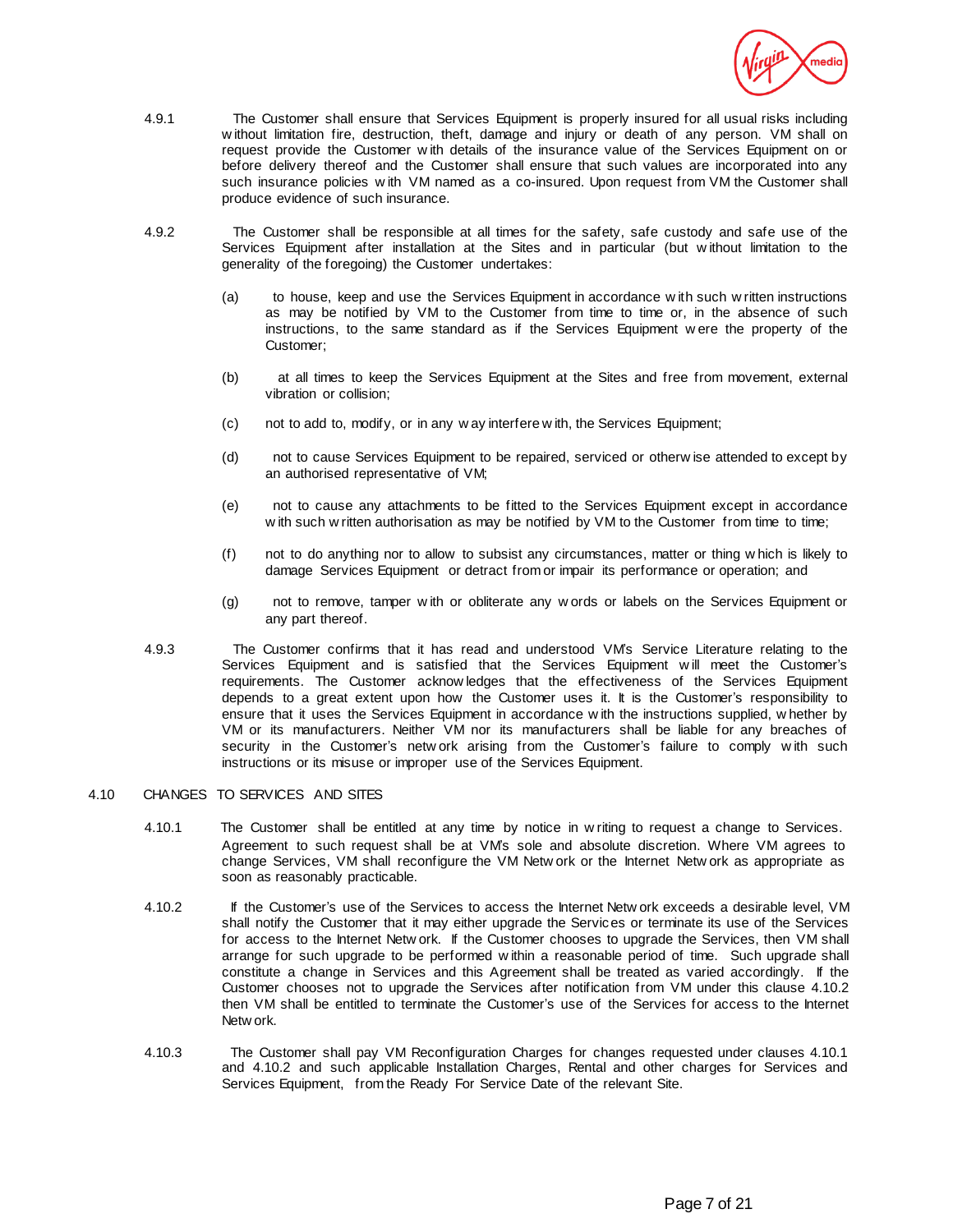

- 4.9.1 The Customer shall ensure that Services Equipment is properly insured for all usual risks including w ithout limitation fire, destruction, theft, damage and injury or death of any person. VM shall on request provide the Customer w ith details of the insurance value of the Services Equipment on or before delivery thereof and the Customer shall ensure that such values are incorporated into any such insurance policies w ith VM named as a co-insured. Upon request from VM the Customer shall produce evidence of such insurance.
- 4.9.2 The Customer shall be responsible at all times for the safety, safe custody and safe use of the Services Equipment after installation at the Sites and in particular (but w ithout limitation to the generality of the foregoing) the Customer undertakes:
	- (a) to house, keep and use the Services Equipment in accordance w ith such w ritten instructions as may be notified by VM to the Customer from time to time or, in the absence of such instructions, to the same standard as if the Services Equipment w ere the property of the Customer;
	- (b) at all times to keep the Services Equipment at the Sites and free from movement, external vibration or collision;
	- (c) not to add to, modify, or in any w ay interfere w ith, the Services Equipment;
	- (d) not to cause Services Equipment to be repaired, serviced or otherw ise attended to except by an authorised representative of VM;
	- (e) not to cause any attachments to be fitted to the Services Equipment except in accordance w ith such w ritten authorisation as may be notified by VM to the Customer from time to time;
	- (f) not to do anything nor to allow to subsist any circumstances, matter or thing w hich is likely to damage Services Equipment or detract from or impair its performance or operation; and
	- (g) not to remove, tamper w ith or obliterate any w ords or labels on the Services Equipment or any part thereof.
- 4.9.3 The Customer confirms that it has read and understood VM's Service Literature relating to the Services Equipment and is satisfied that the Services Equipment w ill meet the Customer's requirements. The Customer acknow ledges that the effectiveness of the Services Equipment depends to a great extent upon how the Customer uses it. It is the Customer's responsibility to ensure that it uses the Services Equipment in accordance w ith the instructions supplied, w hether by VM or its manufacturers. Neither VM nor its manufacturers shall be liable for any breaches of security in the Customer's netw ork arising from the Customer's failure to comply w ith such instructions or its misuse or improper use of the Services Equipment.

# 4.10 CHANGES TO SERVICES AND SITES

- 4.10.1 The Customer shall be entitled at any time by notice in w riting to request a change to Services. Agreement to such request shall be at VM's sole and absolute discretion. Where VM agrees to change Services, VM shall reconfigure the VM Netw ork or the Internet Netw ork as appropriate as soon as reasonably practicable.
- 4.10.2 If the Customer's use of the Services to access the Internet Netw ork exceeds a desirable level, VM shall notify the Customer that it may either upgrade the Services or terminate its use of the Services for access to the Internet Netw ork. If the Customer chooses to upgrade the Services, then VM shall arrange for such upgrade to be performed w ithin a reasonable period of time. Such upgrade shall constitute a change in Services and this Agreement shall be treated as varied accordingly. If the Customer chooses not to upgrade the Services after notification from VM under this clause 4.10.2 then VM shall be entitled to terminate the Customer's use of the Services for access to the Internet Netw ork.
- 4.10.3 The Customer shall pay VM Reconfiguration Charges for changes requested under clauses 4.10.1 and 4.10.2 and such applicable Installation Charges, Rental and other charges for Services and Services Equipment, from the Ready For Service Date of the relevant Site.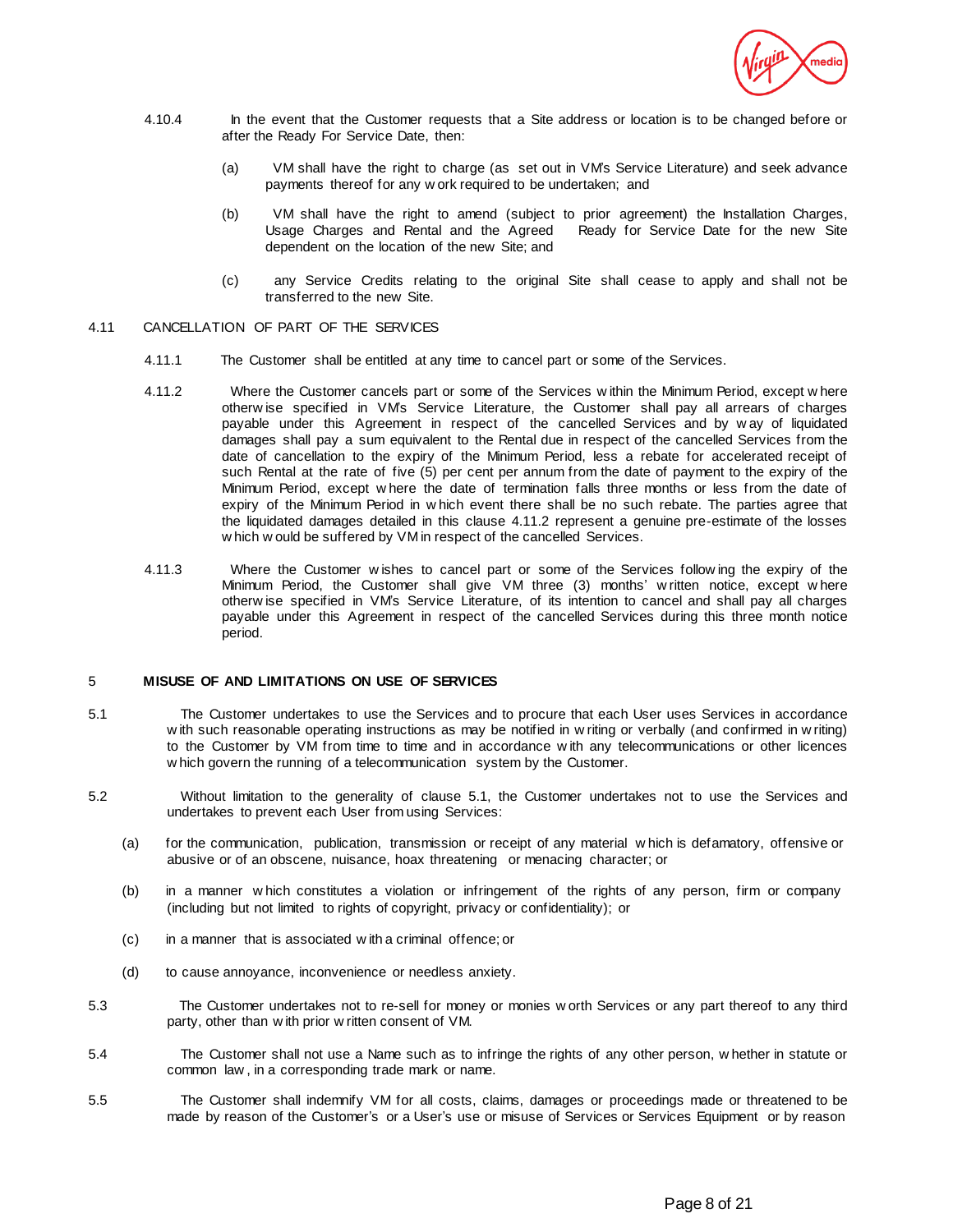

- 4.10.4 In the event that the Customer requests that a Site address or location is to be changed before or after the Ready For Service Date, then:
	- (a) VM shall have the right to charge (as set out in VM's Service Literature) and seek advance payments thereof for any w ork required to be undertaken; and
	- (b) VM shall have the right to amend (subject to prior agreement) the Installation Charges, Usage Charges and Rental and the Agreed Ready for Service Date for the new Site dependent on the location of the new Site; and
	- (c) any Service Credits relating to the original Site shall cease to apply and shall not be transferred to the new Site.

# 4.11 CANCELLATION OF PART OF THE SERVICES

- 4.11.1 The Customer shall be entitled at any time to cancel part or some of the Services.
- 4.11.2 Where the Customer cancels part or some of the Services w ithin the Minimum Period, except w here otherw ise specified in VM's Service Literature, the Customer shall pay all arrears of charges payable under this Agreement in respect of the cancelled Services and by w ay of liquidated damages shall pay a sum equivalent to the Rental due in respect of the cancelled Services from the date of cancellation to the expiry of the Minimum Period, less a rebate for accelerated receipt of such Rental at the rate of five (5) per cent per annum from the date of payment to the expiry of the Minimum Period, except w here the date of termination falls three months or less from the date of expiry of the Minimum Period in w hich event there shall be no such rebate. The parties agree that the liquidated damages detailed in this clause 4.11.2 represent a genuine pre-estimate of the losses w hich w ould be suffered by VM in respect of the cancelled Services.
- 4.11.3 Where the Customer w ishes to cancel part or some of the Services follow ing the expiry of the Minimum Period, the Customer shall give VM three (3) months' w ritten notice, except w here otherw ise specified in VM's Service Literature, of its intention to cancel and shall pay all charges payable under this Agreement in respect of the cancelled Services during this three month notice period.

### 5 **MISUSE OF AND LIMITATIONS ON USE OF SERVICES**

- 5.1 The Customer undertakes to use the Services and to procure that each User uses Services in accordance w ith such reasonable operating instructions as may be notified in w riting or verbally (and confirmed in w riting) to the Customer by VM from time to time and in accordance w ith any telecommunications or other licences w hich govern the running of a telecommunication system by the Customer.
- 5.2 Without limitation to the generality of clause 5.1, the Customer undertakes not to use the Services and undertakes to prevent each User from using Services:
	- (a) for the communication, publication, transmission or receipt of any material w hich is defamatory, offensive or abusive or of an obscene, nuisance, hoax threatening or menacing character; or
	- (b) in a manner w hich constitutes a violation or infringement of the rights of any person, firm or company (including but not limited to rights of copyright, privacy or confidentiality); or
	- (c) in a manner that is associated w ith a criminal offence; or
	- (d) to cause annoyance, inconvenience or needless anxiety.
- 5.3 The Customer undertakes not to re-sell for money or monies w orth Services or any part thereof to any third party, other than w ith prior w ritten consent of VM.
- 5.4 The Customer shall not use a Name such as to infringe the rights of any other person, w hether in statute or common law , in a corresponding trade mark or name.
- 5.5 The Customer shall indemnify VM for all costs, claims, damages or proceedings made or threatened to be made by reason of the Customer's or a User's use or misuse of Services or Services Equipment or by reason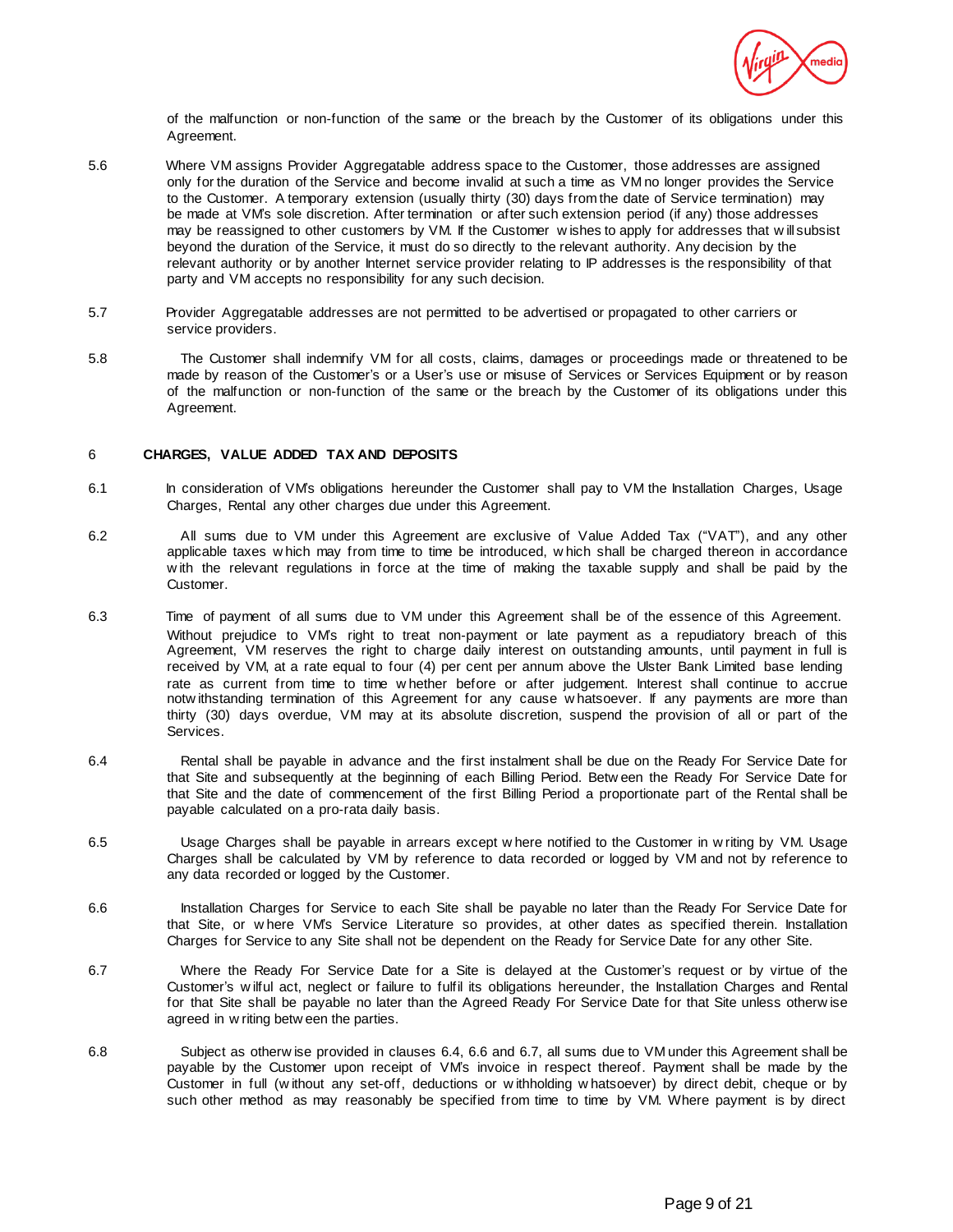

of the malfunction or non-function of the same or the breach by the Customer of its obligations under this Agreement.

- 5.6 Where VM assigns Provider Aggregatable address space to the Customer, those addresses are assigned only for the duration of the Service and become invalid at such a time as VM no longer provides the Service to the Customer. A temporary extension (usually thirty (30) days from the date of Service termination) may be made at VM's sole discretion. After termination or after such extension period (if any) those addresses may be reassigned to other customers by VM. If the Customer w ishes to apply for addresses that w ill subsist beyond the duration of the Service, it must do so directly to the relevant authority. Any decision by the relevant authority or by another Internet service provider relating to IP addresses is the responsibility of that party and VM accepts no responsibility for any such decision.
- 5.7 Provider Aggregatable addresses are not permitted to be advertised or propagated to other carriers or service providers.
- 5.8 The Customer shall indemnify VM for all costs, claims, damages or proceedings made or threatened to be made by reason of the Customer's or a User's use or misuse of Services or Services Equipment or by reason of the malfunction or non-function of the same or the breach by the Customer of its obligations under this Agreement.

### 6 **CHARGES, VALUE ADDED TAX AND DEPOSITS**

- 6.1 In consideration of VM's obligations hereunder the Customer shall pay to VM the Installation Charges, Usage Charges, Rental any other charges due under this Agreement.
- 6.2 All sums due to VM under this Agreement are exclusive of Value Added Tax ("VAT"), and any other applicable taxes w hich may from time to time be introduced, w hich shall be charged thereon in accordance w ith the relevant regulations in force at the time of making the taxable supply and shall be paid by the Customer.
- 6.3 Time of payment of all sums due to VM under this Agreement shall be of the essence of this Agreement. Without prejudice to VM's right to treat non-payment or late payment as a repudiatory breach of this Agreement, VM reserves the right to charge daily interest on outstanding amounts, until payment in full is received by VM, at a rate equal to four (4) per cent per annum above the Ulster Bank Limited base lending rate as current from time to time w hether before or after judgement. Interest shall continue to accrue notw ithstanding termination of this Agreement for any cause w hatsoever. If any payments are more than thirty (30) days overdue, VM may at its absolute discretion, suspend the provision of all or part of the Services.
- 6.4 Rental shall be payable in advance and the first instalment shall be due on the Ready For Service Date for that Site and subsequently at the beginning of each Billing Period. Betw een the Ready For Service Date for that Site and the date of commencement of the first Billing Period a proportionate part of the Rental shall be payable calculated on a pro-rata daily basis.
- 6.5 Usage Charges shall be payable in arrears except w here notified to the Customer in w riting by VM. Usage Charges shall be calculated by VM by reference to data recorded or logged by VM and not by reference to any data recorded or logged by the Customer.
- 6.6 Installation Charges for Service to each Site shall be payable no later than the Ready For Service Date for that Site, or w here VM's Service Literature so provides, at other dates as specified therein. Installation Charges for Service to any Site shall not be dependent on the Ready for Service Date for any other Site.
- 6.7 Where the Ready For Service Date for a Site is delayed at the Customer's request or by virtue of the Customer's w ilful act, neglect or failure to fulfil its obligations hereunder, the Installation Charges and Rental for that Site shall be payable no later than the Agreed Ready For Service Date for that Site unless otherw ise agreed in w riting betw een the parties.
- 6.8 Subject as otherw ise provided in clauses 6.4, 6.6 and 6.7, all sums due to VM under this Agreement shall be payable by the Customer upon receipt of VM's invoice in respect thereof. Payment shall be made by the Customer in full (w ithout any set-off, deductions or w ithholding w hatsoever) by direct debit, cheque or by such other method as may reasonably be specified from time to time by VM. Where payment is by direct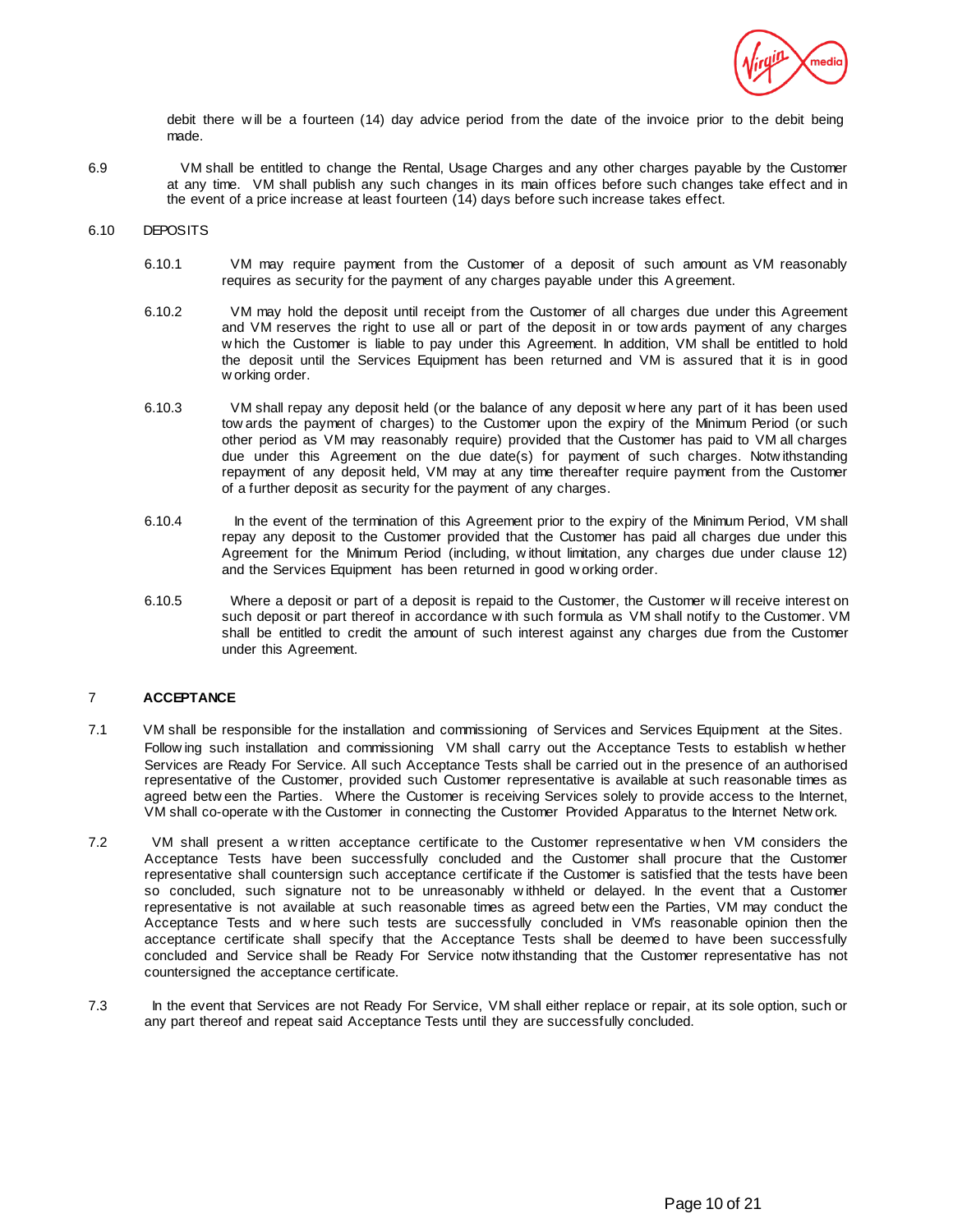

debit there w ill be a fourteen (14) day advice period from the date of the invoice prior to the debit being made.

6.9 VM shall be entitled to change the Rental, Usage Charges and any other charges payable by the Customer at any time. VM shall publish any such changes in its main offices before such changes take effect and in the event of a price increase at least fourteen (14) days before such increase takes effect.

# 6.10 DEPOSITS

- 6.10.1 VM may require payment from the Customer of a deposit of such amount as VM reasonably requires as security for the payment of any charges payable under this Agreement.
- 6.10.2 VM may hold the deposit until receipt from the Customer of all charges due under this Agreement and VM reserves the right to use all or part of the deposit in or tow ards payment of any charges w hich the Customer is liable to pay under this Agreement. In addition, VM shall be entitled to hold the deposit until the Services Equipment has been returned and VM is assured that it is in good w orking order.
- 6.10.3 VM shall repay any deposit held (or the balance of any deposit w here any part of it has been used tow ards the payment of charges) to the Customer upon the expiry of the Minimum Period (or such other period as VM may reasonably require) provided that the Customer has paid to VM all charges due under this Agreement on the due date(s) for payment of such charges. Notw ithstanding repayment of any deposit held, VM may at any time thereafter require payment from the Customer of a further deposit as security for the payment of any charges.
- 6.10.4 In the event of the termination of this Agreement prior to the expiry of the Minimum Period, VM shall repay any deposit to the Customer provided that the Customer has paid all charges due under this Agreement for the Minimum Period (including, w ithout limitation, any charges due under clause 12) and the Services Equipment has been returned in good w orking order.
- 6.10.5 Where a deposit or part of a deposit is repaid to the Customer, the Customer w ill receive interest on such deposit or part thereof in accordance w ith such formula as VM shall notify to the Customer. VM shall be entitled to credit the amount of such interest against any charges due from the Customer under this Agreement.

### 7 **ACCEPTANCE**

- 7.1 VM shall be responsible for the installation and commissioning of Services and Services Equipment at the Sites. Follow ing such installation and commissioning VM shall carry out the Acceptance Tests to establish w hether Services are Ready For Service. All such Acceptance Tests shall be carried out in the presence of an authorised representative of the Customer, provided such Customer representative is available at such reasonable times as agreed betw een the Parties. Where the Customer is receiving Services solely to provide access to the Internet, VM shall co-operate w ith the Customer in connecting the Customer Provided Apparatus to the Internet Netw ork.
- 7.2 VM shall present a w ritten acceptance certificate to the Customer representative w hen VM considers the Acceptance Tests have been successfully concluded and the Customer shall procure that the Customer representative shall countersign such acceptance certificate if the Customer is satisfied that the tests have been so concluded, such signature not to be unreasonably w ithheld or delayed. In the event that a Customer representative is not available at such reasonable times as agreed betw een the Parties, VM may conduct the Acceptance Tests and w here such tests are successfully concluded in VM's reasonable opinion then the acceptance certificate shall specify that the Acceptance Tests shall be deemed to have been successfully concluded and Service shall be Ready For Service notw ithstanding that the Customer representative has not countersigned the acceptance certificate.
- 7.3 In the event that Services are not Ready For Service, VM shall either replace or repair, at its sole option, such or any part thereof and repeat said Acceptance Tests until they are successfully concluded.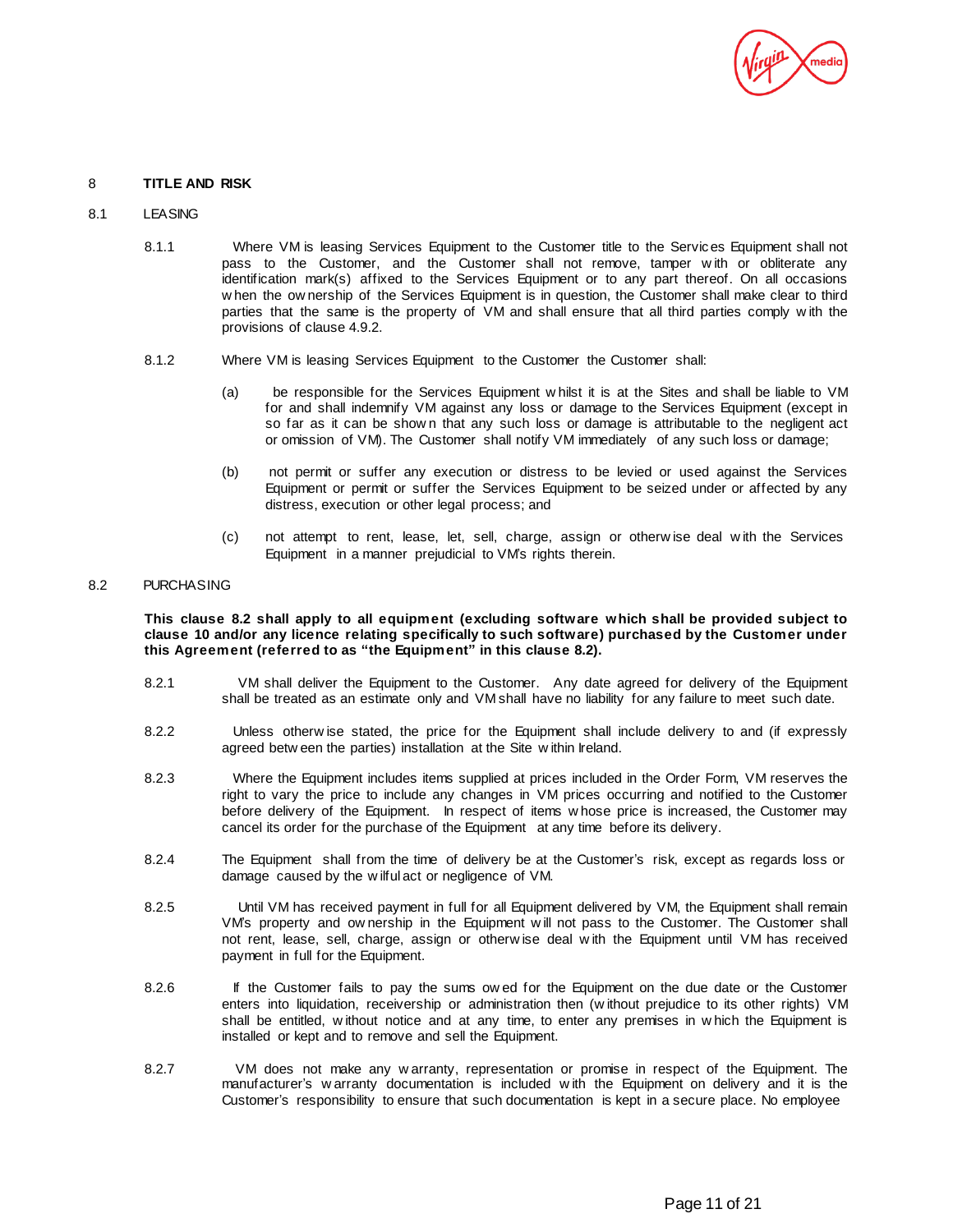

### 8 **TITLE AND RISK**

# 8.1 **LEASING**

- 8.1.1 Where VM is leasing Services Equipment to the Customer title to the Services Equipment shall not pass to the Customer, and the Customer shall not remove, tamper w ith or obliterate any identification mark(s) affixed to the Services Equipment or to any part thereof. On all occasions w hen the ow nership of the Services Equipment is in question, the Customer shall make clear to third parties that the same is the property of VM and shall ensure that all third parties comply w ith the provisions of clause 4.9.2.
- 8.1.2 Where VM is leasing Services Equipment to the Customer the Customer shall:
	- (a) be responsible for the Services Equipment w hilst it is at the Sites and shall be liable to VM for and shall indemnify VM against any loss or damage to the Services Equipment (except in so far as it can be shown that any such loss or damage is attributable to the negligent act or omission of VM). The Customer shall notify VM immediately of any such loss or damage;
	- (b) not permit or suffer any execution or distress to be levied or used against the Services Equipment or permit or suffer the Services Equipment to be seized under or affected by any distress, execution or other legal process; and
	- (c) not attempt to rent, lease, let, sell, charge, assign or otherw ise deal w ith the Services Equipment in a manner prejudicial to VM's rights therein.

## 8.2 PURCHASING

**This clause 8.2 shall apply to all equipment (excluding software which shall be provided subject to clause 10 and/or any licence relating specifically to such software) purchased by the Customer under this Agreement (referred to as "the Equipment" in this clause 8.2).**

- 8.2.1 VM shall deliver the Equipment to the Customer. Any date agreed for delivery of the Equipment shall be treated as an estimate only and VM shall have no liability for any failure to meet such date.
- 8.2.2 Unless otherw ise stated, the price for the Equipment shall include delivery to and (if expressly agreed betw een the parties) installation at the Site w ithin Ireland.
- 8.2.3 Where the Equipment includes items supplied at prices included in the Order Form, VM reserves the right to vary the price to include any changes in VM prices occurring and notified to the Customer before delivery of the Equipment. In respect of items w hose price is increased, the Customer may cancel its order for the purchase of the Equipment at any time before its delivery.
- 8.2.4 The Equipment shall from the time of delivery be at the Customer's risk, except as regards loss or damage caused by the w ilful act or negligence of VM.
- 8.2.5 Until VM has received payment in full for all Equipment delivered by VM, the Equipment shall remain VM's property and ow nership in the Equipment w ill not pass to the Customer. The Customer shall not rent, lease, sell, charge, assign or otherw ise deal w ith the Equipment until VM has received payment in full for the Equipment.
- 8.2.6 If the Customer fails to pay the sums ow ed for the Equipment on the due date or the Customer enters into liquidation, receivership or administration then (w ithout prejudice to its other rights) VM shall be entitled, w ithout notice and at any time, to enter any premises in w hich the Equipment is installed or kept and to remove and sell the Equipment.
- 8.2.7 VM does not make any w arranty, representation or promise in respect of the Equipment. The manufacturer's w arranty documentation is included w ith the Equipment on delivery and it is the Customer's responsibility to ensure that such documentation is kept in a secure place. No employee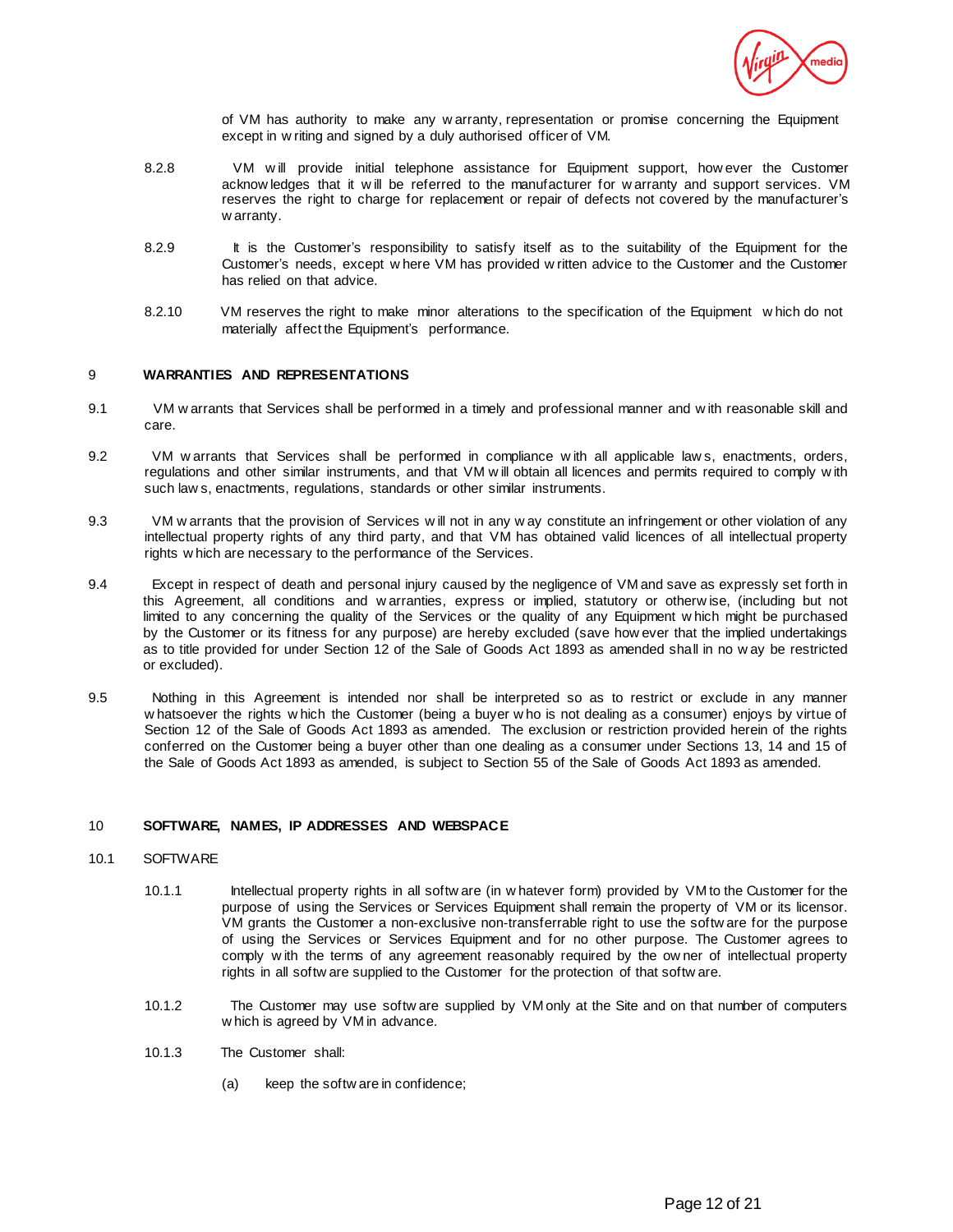

of VM has authority to make any w arranty, representation or promise concerning the Equipment except in w riting and signed by a duly authorised officer of VM.

- 8.2.8 VM will provide initial telephone assistance for Equipment support, how ever the Customer acknow ledges that it w ill be referred to the manufacturer for w arranty and support services. VM reserves the right to charge for replacement or repair of defects not covered by the manufacturer's w arranty.
- 8.2.9 It is the Customer's responsibility to satisfy itself as to the suitability of the Equipment for the Customer's needs, except w here VM has provided w ritten advice to the Customer and the Customer has relied on that advice.
- 8.2.10 VM reserves the right to make minor alterations to the specification of the Equipment w hich do not materially affect the Equipment's performance.

# 9 **WARRANTIES AND REPRESENTATIONS**

- 9.1 VM w arrants that Services shall be performed in a timely and professional manner and w ith reasonable skill and care.
- 9.2 VM w arrants that Services shall be performed in compliance w ith all applicable law s, enactments, orders, regulations and other similar instruments, and that VM w ill obtain all licences and permits required to comply w ith such law s, enactments, regulations, standards or other similar instruments.
- 9.3 VM w arrants that the provision of Services w ill not in any w ay constitute an infringement or other violation of any intellectual property rights of any third party, and that VM has obtained valid licences of all intellectual property rights w hich are necessary to the performance of the Services.
- 9.4 Except in respect of death and personal injury caused by the negligence of VM and save as expressly set forth in this Agreement, all conditions and w arranties, express or implied, statutory or otherw ise, (including but not limited to any concerning the quality of the Services or the quality of any Equipment w hich might be purchased by the Customer or its fitness for any purpose) are hereby excluded (save how ever that the implied undertakings as to title provided for under Section 12 of the Sale of Goods Act 1893 as amended shall in no w ay be restricted or excluded).
- 9.5 Nothing in this Agreement is intended nor shall be interpreted so as to restrict or exclude in any manner w hatsoever the rights w hich the Customer (being a buyer w ho is not dealing as a consumer) enjoys by virtue of Section 12 of the Sale of Goods Act 1893 as amended. The exclusion or restriction provided herein of the rights conferred on the Customer being a buyer other than one dealing as a consumer under Sections 13, 14 and 15 of the Sale of Goods Act 1893 as amended, is subject to Section 55 of the Sale of Goods Act 1893 as amended.

# 10 **SOFTWARE, NAMES, IP ADDRESSES AND WEBSPACE**

# 10.1 SOFTWARE

- 10.1.1 Intellectual property rights in all softw are (in w hatever form) provided by VM to the Customer for the purpose of using the Services or Services Equipment shall remain the property of VM or its licensor. VM grants the Customer a non-exclusive non-transferrable right to use the softw are for the purpose of using the Services or Services Equipment and for no other purpose. The Customer agrees to comply w ith the terms of any agreement reasonably required by the ow ner of intellectual property rights in all softw are supplied to the Customer for the protection of that softw are.
- 10.1.2 The Customer may use softw are supplied by VM only at the Site and on that number of computers w hich is agreed by VM in advance.
- 10.1.3 The Customer shall:
	- (a) keep the softw are in confidence;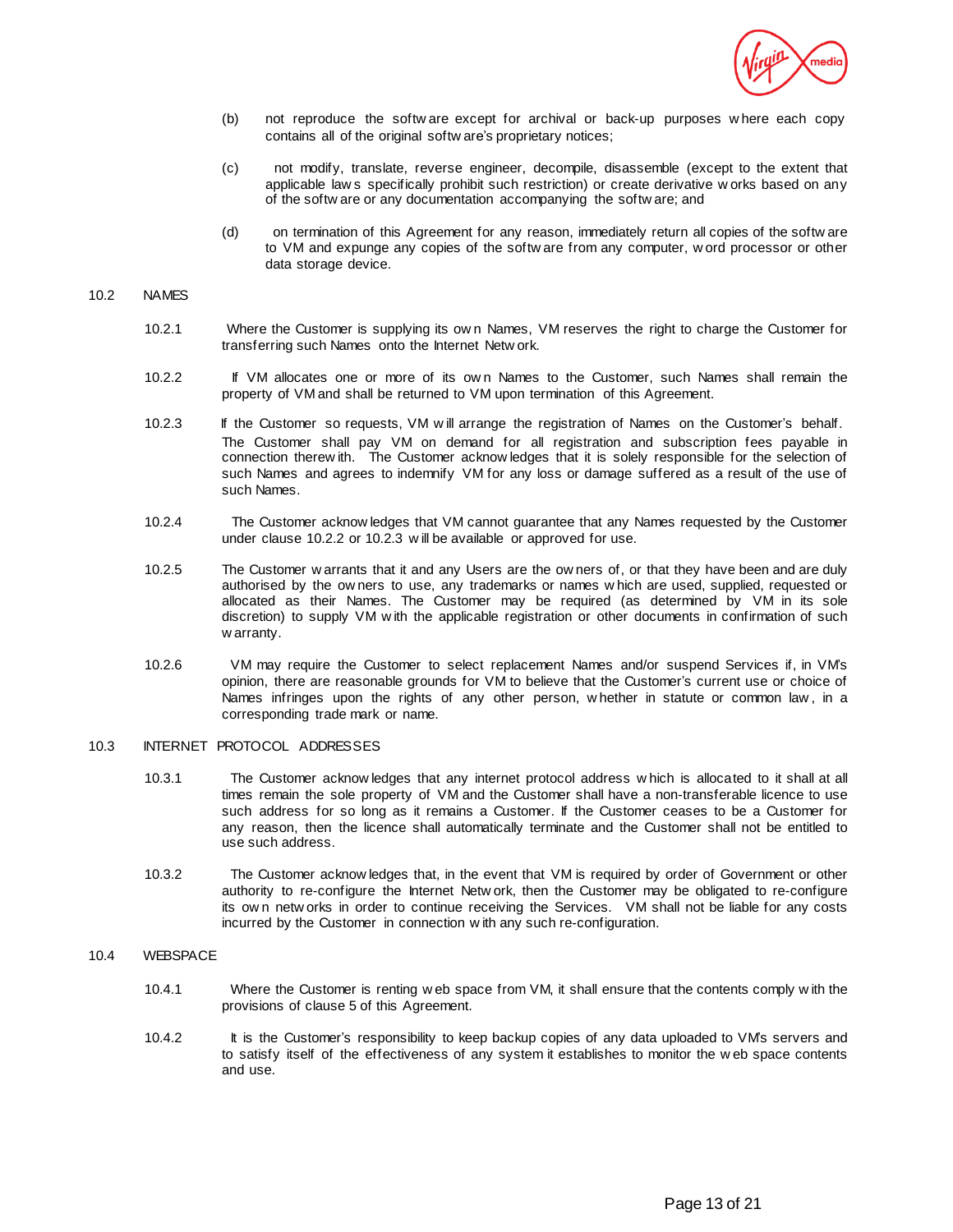

- (b) not reproduce the softw are except for archival or back-up purposes w here each copy contains all of the original softw are's proprietary notices;
- (c) not modify, translate, reverse engineer, decompile, disassemble (except to the extent that applicable law s specifically prohibit such restriction) or create derivative w orks based on any of the softw are or any documentation accompanying the softw are; and
- (d) on termination of this Agreement for any reason, immediately return all copies of the softw are to VM and expunge any copies of the softw are from any computer, w ord processor or other data storage device.

#### 10.2 NAMES

- 10.2.1 Where the Customer is supplying its ow n Names, VM reserves the right to charge the Customer for transferring such Names onto the Internet Netw ork.
- 10.2.2 If VM allocates one or more of its ow n Names to the Customer, such Names shall remain the property of VM and shall be returned to VM upon termination of this Agreement.
- 10.2.3 If the Customer so requests, VM w ill arrange the registration of Names on the Customer's behalf. The Customer shall pay VM on demand for all registration and subscription fees payable in connection therew ith. The Customer acknow ledges that it is solely responsible for the selection of such Names and agrees to indemnify VM for any loss or damage suffered as a result of the use of such Names.
- 10.2.4 The Customer acknow ledges that VM cannot guarantee that any Names requested by the Customer under clause 10.2.2 or 10.2.3 w ill be available or approved for use.
- 10.2.5 The Customer w arrants that it and any Users are the ow ners of, or that they have been and are duly authorised by the ow ners to use, any trademarks or names w hich are used, supplied, requested or allocated as their Names. The Customer may be required (as determined by VM in its sole discretion) to supply VM w ith the applicable registration or other documents in confirmation of such w arranty.
- 10.2.6 VM may require the Customer to select replacement Names and/or suspend Services if, in VM's opinion, there are reasonable grounds for VM to believe that the Customer's current use or choice of Names infringes upon the rights of any other person, w hether in statute or common law , in a corresponding trade mark or name.

#### 10.3 INTERNET PROTOCOL ADDRESSES

- 10.3.1 The Customer acknow ledges that any internet protocol address w hich is allocated to it shall at all times remain the sole property of VM and the Customer shall have a non-transferable licence to use such address for so long as it remains a Customer. If the Customer ceases to be a Customer for any reason, then the licence shall automatically terminate and the Customer shall not be entitled to use such address.
- 10.3.2 The Customer acknow ledges that, in the event that VM is required by order of Government or other authority to re-configure the Internet Netw ork, then the Customer may be obligated to re-configure its ow n netw orks in order to continue receiving the Services. VM shall not be liable for any costs incurred by the Customer in connection w ith any such re-configuration.

# 10.4 WEBSPACE

- 10.4.1 Where the Customer is renting w eb space from VM, it shall ensure that the contents comply w ith the provisions of clause 5 of this Agreement.
- 10.4.2 It is the Customer's responsibility to keep backup copies of any data uploaded to VM's servers and to satisfy itself of the effectiveness of any system it establishes to monitor the w eb space contents and use.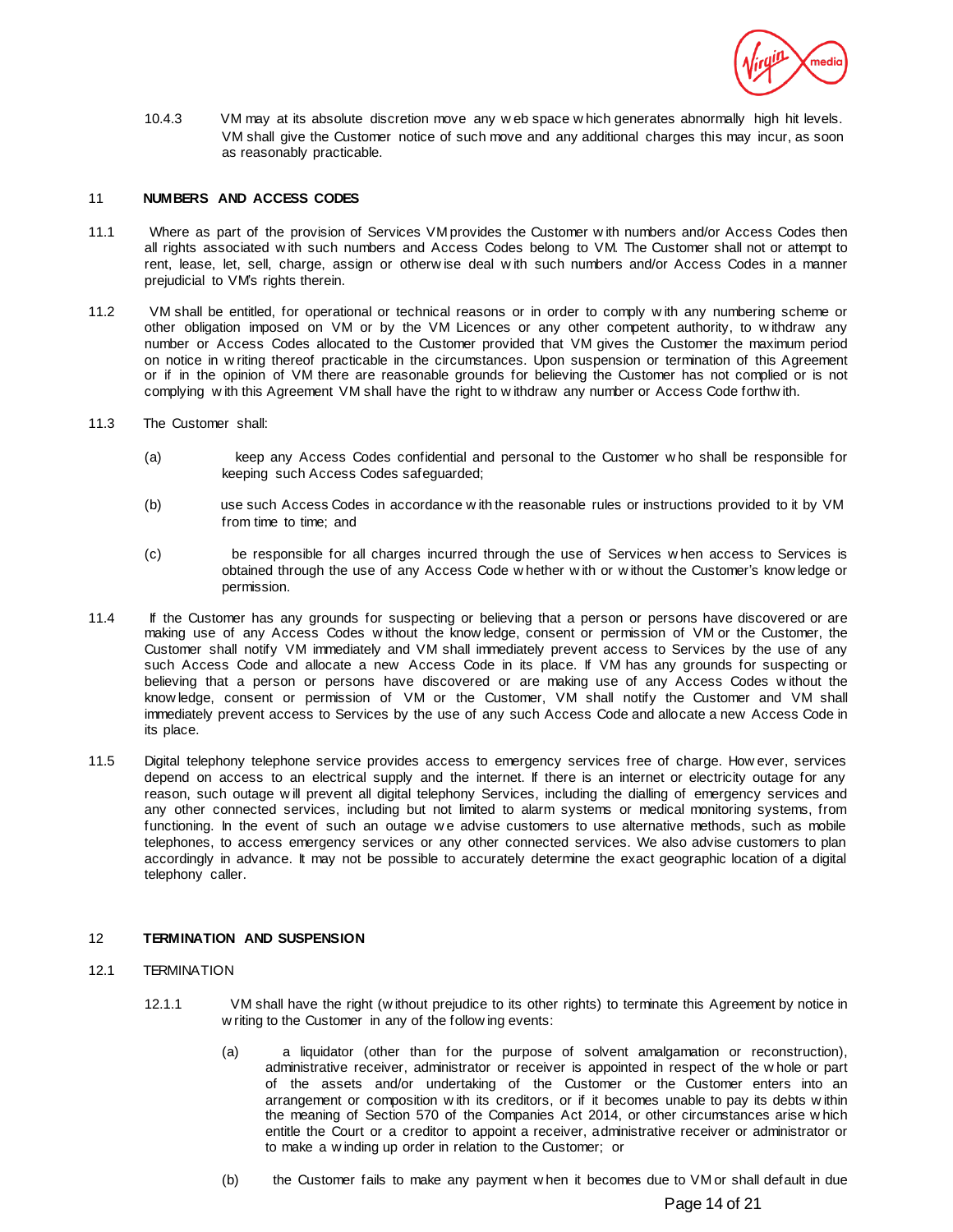

10.4.3 VM may at its absolute discretion move any w eb space w hich generates abnormally high hit levels. VM shall give the Customer notice of such move and any additional charges this may incur, as soon as reasonably practicable.

## 11 **NUMBERS AND ACCESS CODES**

- 11.1 Where as part of the provision of Services VM provides the Customer w ith numbers and/or Access Codes then all rights associated w ith such numbers and Access Codes belong to VM. The Customer shall not or attempt to rent, lease, let, sell, charge, assign or otherw ise deal w ith such numbers and/or Access Codes in a manner prejudicial to VM's rights therein.
- 11.2 VM shall be entitled, for operational or technical reasons or in order to comply w ith any numbering scheme or other obligation imposed on VM or by the VM Licences or any other competent authority, to w ithdraw any number or Access Codes allocated to the Customer provided that VM gives the Customer the maximum period on notice in w riting thereof practicable in the circumstances. Upon suspension or termination of this Agreement or if in the opinion of VM there are reasonable grounds for believing the Customer has not complied or is not complying w ith this Agreement VM shall have the right to w ithdraw any number or Access Code forthw ith.
- 11.3 The Customer shall:
	- (a) keep any Access Codes confidential and personal to the Customer w ho shall be responsible for keeping such Access Codes safeguarded;
	- (b) use such Access Codes in accordance w ith the reasonable rules or instructions provided to it by VM from time to time; and
	- (c) be responsible for all charges incurred through the use of Services w hen access to Services is obtained through the use of any Access Code w hether w ith or w ithout the Customer's know ledge or permission.
- 11.4 If the Customer has any grounds for suspecting or believing that a person or persons have discovered or are making use of any Access Codes w ithout the know ledge, consent or permission of VM or the Customer, the Customer shall notify VM immediately and VM shall immediately prevent access to Services by the use of any such Access Code and allocate a new Access Code in its place. If VM has any grounds for suspecting or believing that a person or persons have discovered or are making use of any Access Codes w ithout the know ledge, consent or permission of VM or the Customer, VM shall notify the Customer and VM shall immediately prevent access to Services by the use of any such Access Code and allocate a new Access Code in its place.
- 11.5 Digital telephony telephone service provides access to emergency services free of charge. How ever, services depend on access to an electrical supply and the internet. If there is an internet or electricity outage for any reason, such outage w ill prevent all digital telephony Services, including the dialling of emergency services and any other connected services, including but not limited to alarm systems or medical monitoring systems, from functioning. In the event of such an outage we advise customers to use alternative methods, such as mobile telephones, to access emergency services or any other connected services. We also advise customers to plan accordingly in advance. It may not be possible to accurately determine the exact geographic location of a digital telephony caller.

### 12 **TERMINATION AND SUSPENSION**

# 12.1 TERMINATION

- 12.1.1 VM shall have the right (w ithout prejudice to its other rights) to terminate this Agreement by notice in w riting to the Customer in any of the follow ing events:
	- (a) a liquidator (other than for the purpose of solvent amalgamation or reconstruction), administrative receiver, administrator or receiver is appointed in respect of the w hole or part of the assets and/or undertaking of the Customer or the Customer enters into an arrangement or composition w ith its creditors, or if it becomes unable to pay its debts w ithin the meaning of Section 570 of the Companies Act 2014, or other circumstances arise w hich entitle the Court or a creditor to appoint a receiver, administrative receiver or administrator or to make a w inding up order in relation to the Customer; or
	- (b) the Customer fails to make any payment w hen it becomes due to VM or shall default in due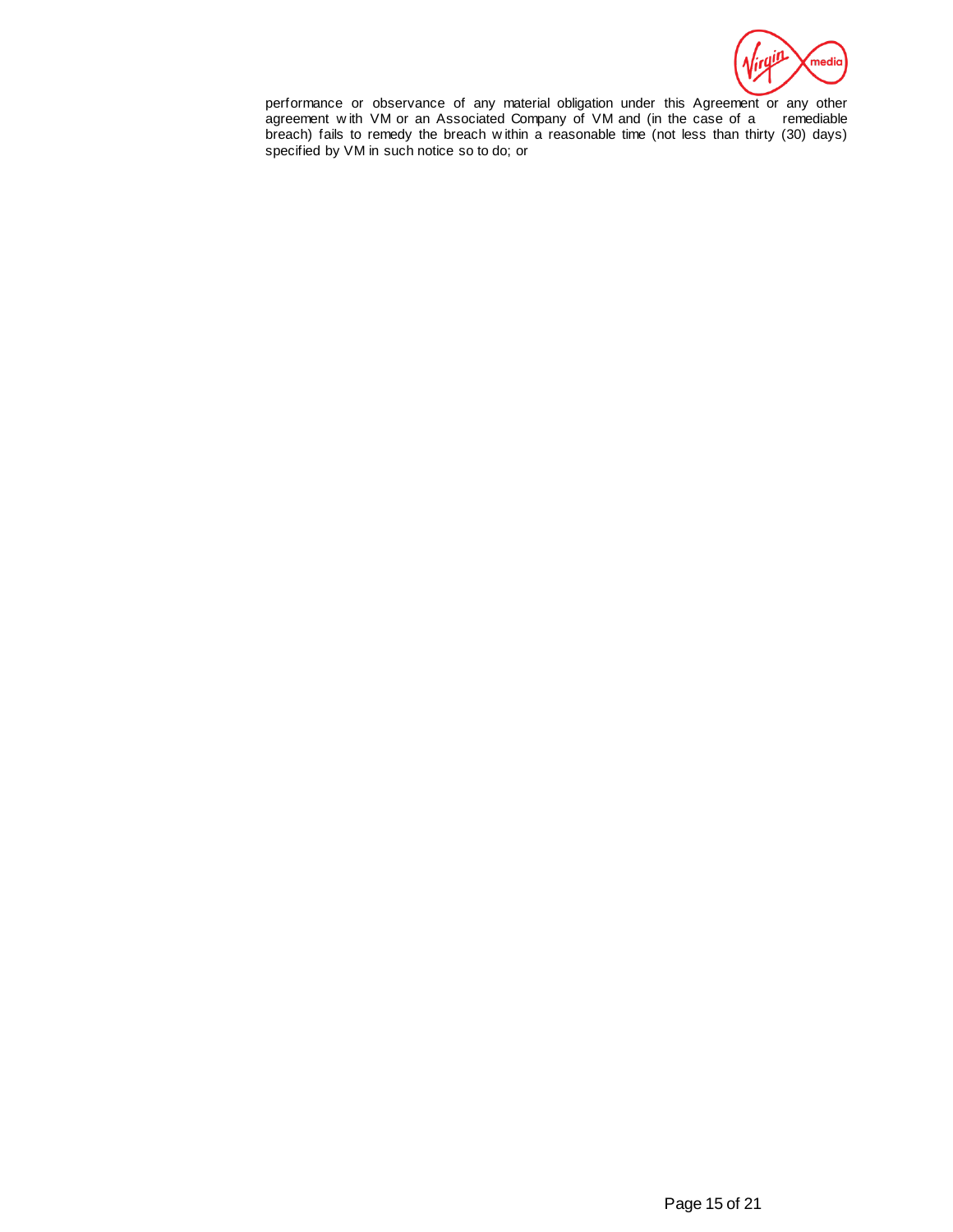

performance or observance of any material obligation under this Agreement or any other agreement with VM or an Associated Company of VM and (in the case of a remediable agreement with VM or an Associated Company of VM and (in the case of a breach) fails to remedy the breach w ithin a reasonable time (not less than thirty (30) days) specified by VM in such notice so to do; or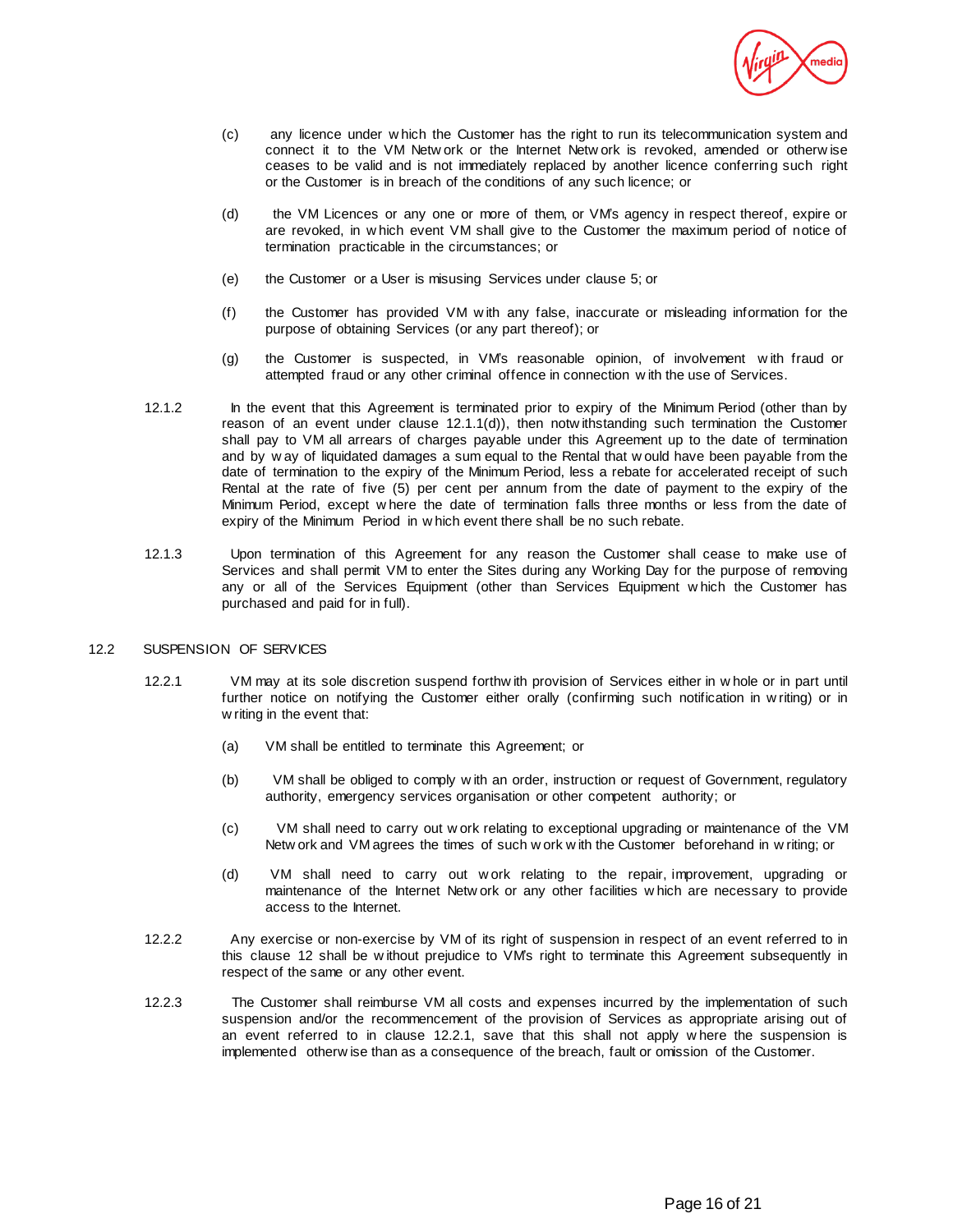

- (c) any licence under w hich the Customer has the right to run its telecommunication system and connect it to the VM Netw ork or the Internet Netw ork is revoked, amended or otherw ise ceases to be valid and is not immediately replaced by another licence conferring such right or the Customer is in breach of the conditions of any such licence; or
- (d) the VM Licences or any one or more of them, or VM's agency in respect thereof, expire or are revoked, in w hich event VM shall give to the Customer the maximum period of notice of termination practicable in the circumstances; or
- (e) the Customer or a User is misusing Services under clause 5; or
- (f) the Customer has provided VM w ith any false, inaccurate or misleading information for the purpose of obtaining Services (or any part thereof); or
- (g) the Customer is suspected, in VM's reasonable opinion, of involvement w ith fraud or attempted fraud or any other criminal offence in connection w ith the use of Services.
- 12.1.2 In the event that this Agreement is terminated prior to expiry of the Minimum Period (other than by reason of an event under clause 12.1.1(d)), then notw ithstanding such termination the Customer shall pay to VM all arrears of charges payable under this Agreement up to the date of termination and by w ay of liquidated damages a sum equal to the Rental that w ould have been payable from the date of termination to the expiry of the Minimum Period, less a rebate for accelerated receipt of such Rental at the rate of five (5) per cent per annum from the date of payment to the expiry of the Minimum Period, except w here the date of termination falls three months or less from the date of expiry of the Minimum Period in w hich event there shall be no such rebate.
- 12.1.3 Upon termination of this Agreement for any reason the Customer shall cease to make use of Services and shall permit VM to enter the Sites during any Working Day for the purpose of removing any or all of the Services Equipment (other than Services Equipment w hich the Customer has purchased and paid for in full).

### 12.2 SUSPENSION OF SERVICES

- 12.2.1 VM may at its sole discretion suspend forthw ith provision of Services either in w hole or in part until further notice on notifying the Customer either orally (confirming such notification in w riting) or in w riting in the event that:
	- (a) VM shall be entitled to terminate this Agreement; or
	- (b) VM shall be obliged to comply w ith an order, instruction or request of Government, regulatory authority, emergency services organisation or other competent authority; or
	- (c) VM shall need to carry out w ork relating to exceptional upgrading or maintenance of the VM Netw ork and VM agrees the times of such w ork w ith the Customer beforehand in w riting; or
	- (d) VM shall need to carry out w ork relating to the repair, improvement, upgrading or maintenance of the Internet Netw ork or any other facilities w hich are necessary to provide access to the Internet.
- 12.2.2 Any exercise or non-exercise by VM of its right of suspension in respect of an event referred to in this clause 12 shall be w ithout prejudice to VM's right to terminate this Agreement subsequently in respect of the same or any other event.
- 12.2.3 The Customer shall reimburse VM all costs and expenses incurred by the implementation of such suspension and/or the recommencement of the provision of Services as appropriate arising out of an event referred to in clause 12.2.1, save that this shall not apply w here the suspension is implemented otherw ise than as a consequence of the breach, fault or omission of the Customer.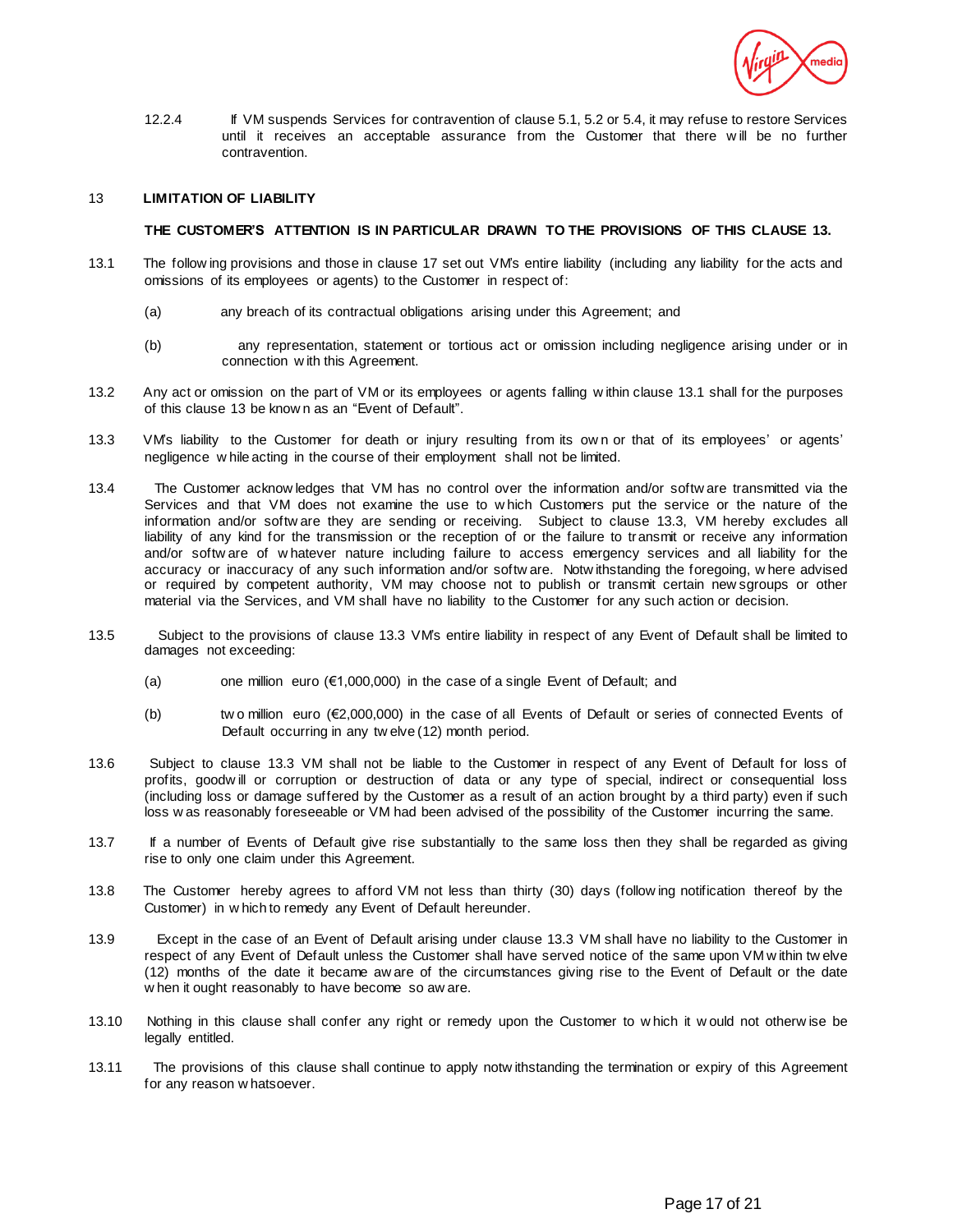

12.2.4 If VM suspends Services for contravention of clause 5.1, 5.2 or 5.4, it may refuse to restore Services until it receives an acceptable assurance from the Customer that there w ill be no further contravention.

## 13 **LIMITATION OF LIABILITY**

# **THE CUSTOMER'S ATTENTION IS IN PARTICULAR DRAWN TO THE PROVISIONS OF THIS CLAUSE 13.**

- 13.1 The follow ing provisions and those in clause 17 set out VM's entire liability (including any liability for the acts and omissions of its employees or agents) to the Customer in respect of:
	- (a) any breach of its contractual obligations arising under this Agreement; and
	- (b) any representation, statement or tortious act or omission including negligence arising under or in connection w ith this Agreement.
- 13.2 Any act or omission on the part of VM or its employees or agents falling w ithin clause 13.1 shall for the purposes of this clause 13 be know n as an "Event of Default".
- 13.3 VM's liability to the Customer for death or injury resulting from its ow n or that of its employees' or agents' negligence w hile acting in the course of their employment shall not be limited.
- 13.4 The Customer acknow ledges that VM has no control over the information and/or softw are transmitted via the Services and that VM does not examine the use to w hich Customers put the service or the nature of the information and/or softw are they are sending or receiving. Subject to clause 13.3, VM hereby excludes all liability of any kind for the transmission or the reception of or the failure to transmit or receive any information and/or softw are of w hatever nature including failure to access emergency services and all liability for the accuracy or inaccuracy of any such information and/or softw are. Notw ithstanding the foregoing, w here advised or required by competent authority, VM may choose not to publish or transmit certain new sgroups or other material via the Services, and VM shall have no liability to the Customer for any such action or decision.
- 13.5 Subject to the provisions of clause 13.3 VM's entire liability in respect of any Event of Default shall be limited to damages not exceeding:
	- (a) one million euro ( $€1,000,000$ ) in the case of a single Event of Default; and
	- (b) tw o million euro (€2,000,000) in the case of all Events of Default or series of connected Events of Default occurring in any tw elve (12) month period.
- 13.6 Subject to clause 13.3 VM shall not be liable to the Customer in respect of any Event of Default for loss of profits, goodw ill or corruption or destruction of data or any type of special, indirect or consequential loss (including loss or damage suffered by the Customer as a result of an action brought by a third party) even if such loss w as reasonably foreseeable or VM had been advised of the possibility of the Customer incurring the same.
- 13.7 If a number of Events of Default give rise substantially to the same loss then they shall be regarded as giving rise to only one claim under this Agreement.
- 13.8 The Customer hereby agrees to afford VM not less than thirty (30) days (follow ing notification thereof by the Customer) in w hich to remedy any Event of Default hereunder.
- 13.9 Except in the case of an Event of Default arising under clause 13.3 VM shall have no liability to the Customer in respect of any Event of Default unless the Customer shall have served notice of the same upon VM w ithin tw elve (12) months of the date it became aw are of the circumstances giving rise to the Event of Default or the date w hen it ought reasonably to have become so aw are.
- 13.10 Nothing in this clause shall confer any right or remedy upon the Customer to w hich it w ould not otherw ise be legally entitled.
- 13.11 The provisions of this clause shall continue to apply notw ithstanding the termination or expiry of this Agreement for any reason w hatsoever.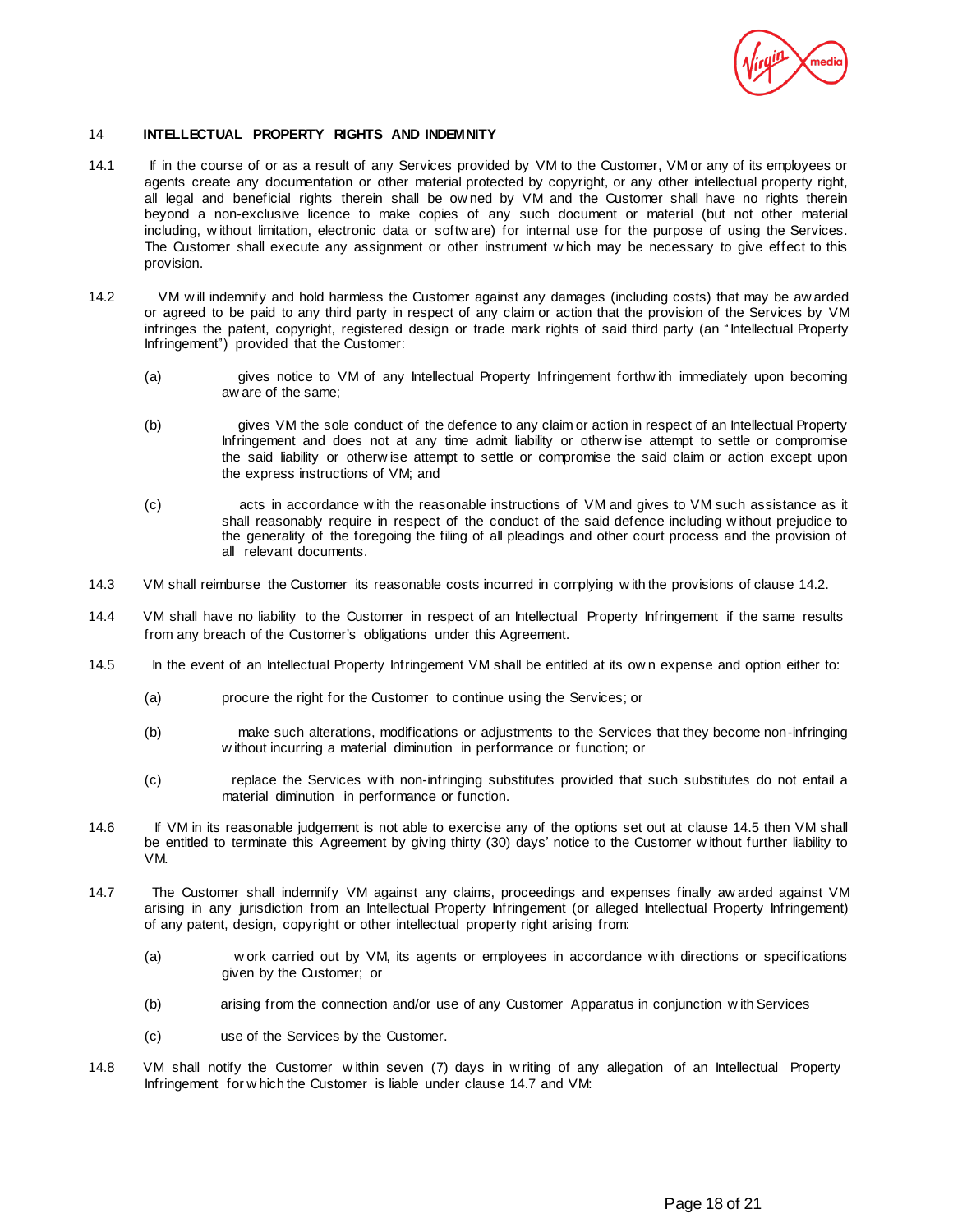

### 14 **INTELLECTUAL PROPERTY RIGHTS AND INDEMNITY**

- 14.1 If in the course of or as a result of any Services provided by VM to the Customer, VM or any of its employees or agents create any documentation or other material protected by copyright, or any other intellectual property right, all legal and beneficial rights therein shall be ow ned by VM and the Customer shall have no rights therein beyond a non-exclusive licence to make copies of any such document or material (but not other material including, w ithout limitation, electronic data or softw are) for internal use for the purpose of using the Services. The Customer shall execute any assignment or other instrument w hich may be necessary to give effect to this provision.
- 14.2 VM w ill indemnify and hold harmless the Customer against any damages (including costs) that may be aw arded or agreed to be paid to any third party in respect of any claim or action that the provision of the Services by VM infringes the patent, copyright, registered design or trade mark rights of said third party (an "Intellectual Property Infringement") provided that the Customer:
	- (a) gives notice to VM of any Intellectual Property Infringement forthw ith immediately upon becoming aw are of the same;
	- (b) gives VM the sole conduct of the defence to any claim or action in respect of an Intellectual Property Infringement and does not at any time admit liability or otherw ise attempt to settle or compromise the said liability or otherw ise attempt to settle or compromise the said claim or action except upon the express instructions of VM; and
	- (c) acts in accordance w ith the reasonable instructions of VM and gives to VM such assistance as it shall reasonably require in respect of the conduct of the said defence including w ithout prejudice to the generality of the foregoing the filing of all pleadings and other court process and the provision of all relevant documents.
- 14.3 VM shall reimburse the Customer its reasonable costs incurred in complying w ith the provisions of clause 14.2.
- 14.4 VM shall have no liability to the Customer in respect of an Intellectual Property Infringement if the same results from any breach of the Customer's obligations under this Agreement.
- 14.5 In the event of an Intellectual Property Infringement VM shall be entitled at its ow n expense and option either to:
	- (a) procure the right for the Customer to continue using the Services; or
	- (b) make such alterations, modifications or adjustments to the Services that they become non-infringing w ithout incurring a material diminution in performance or function; or
	- (c) replace the Services w ith non-infringing substitutes provided that such substitutes do not entail a material diminution in performance or function.
- 14.6 If VM in its reasonable judgement is not able to exercise any of the options set out at clause 14.5 then VM shall be entitled to terminate this Agreement by giving thirty (30) days' notice to the Customer w ithout further liability to VM.
- 14.7 The Customer shall indemnify VM against any claims, proceedings and expenses finally aw arded against VM arising in any jurisdiction from an Intellectual Property Infringement (or alleged Intellectual Property Infringement) of any patent, design, copyright or other intellectual property right arising from:
	- (a) w ork carried out by VM, its agents or employees in accordance w ith directions or specifications given by the Customer; or
	- (b) arising from the connection and/or use of any Customer Apparatus in conjunction w ith Services
	- (c) use of the Services by the Customer.
- 14.8 VM shall notify the Customer w ithin seven (7) days in w riting of any allegation of an Intellectual Property Infringement for w hich the Customer is liable under clause 14.7 and VM: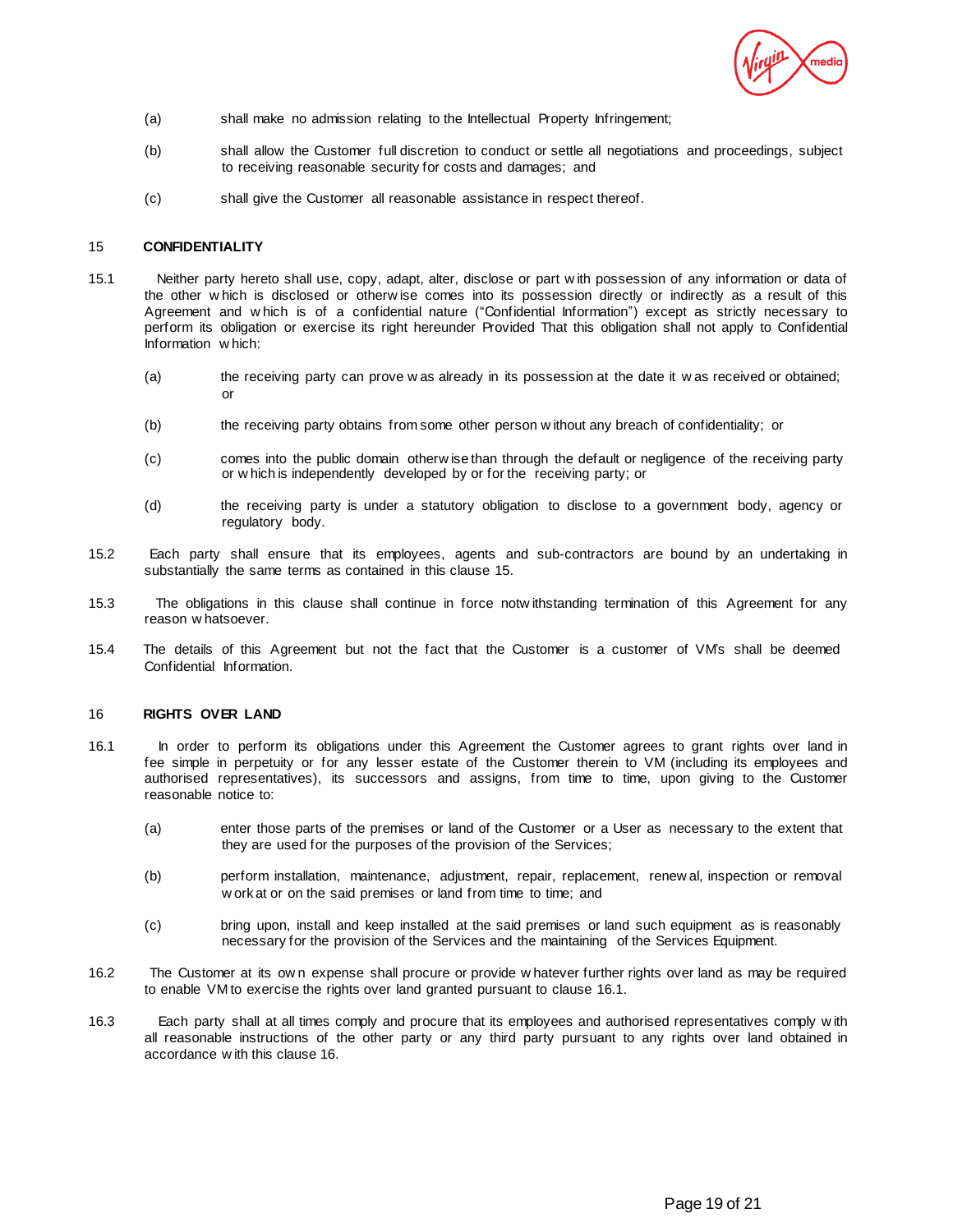

- (a) shall make no admission relating to the Intellectual Property Infringement;
- (b) shall allow the Customer full discretion to conduct or settle all negotiations and proceedings, subject to receiving reasonable security for costs and damages; and
- (c) shall give the Customer all reasonable assistance in respect thereof.

# 15 **CONFIDENTIALITY**

- 15.1 Neither party hereto shall use, copy, adapt, alter, disclose or part w ith possession of any information or data of the other w hich is disclosed or otherw ise comes into its possession directly or indirectly as a result of this Agreement and w hich is of a confidential nature ("Confidential Information") except as strictly necessary to perform its obligation or exercise its right hereunder Provided That this obligation shall not apply to Confidential Information w hich:
	- (a) the receiving party can prove w as already in its possession at the date it w as received or obtained; or
	- (b) the receiving party obtains from some other person w ithout any breach of confidentiality; or
	- (c) comes into the public domain otherw ise than through the default or negligence of the receiving party or w hich is independently developed by or for the receiving party; or
	- (d) the receiving party is under a statutory obligation to disclose to a government body, agency or regulatory body.
- 15.2 Each party shall ensure that its employees, agents and sub-contractors are bound by an undertaking in substantially the same terms as contained in this clause 15.
- 15.3 The obligations in this clause shall continue in force notw ithstanding termination of this Agreement for any reason w hatsoever.
- 15.4 The details of this Agreement but not the fact that the Customer is a customer of VM's shall be deemed Confidential Information.

### 16 **RIGHTS OVER LAND**

- 16.1 In order to perform its obligations under this Agreement the Customer agrees to grant rights over land in fee simple in perpetuity or for any lesser estate of the Customer therein to VM (including its employees and authorised representatives), its successors and assigns, from time to time, upon giving to the Customer reasonable notice to:
	- (a) enter those parts of the premises or land of the Customer or a User as necessary to the extent that they are used for the purposes of the provision of the Services;
	- (b) perform installation, maintenance, adjustment, repair, replacement, renew al, inspection or removal w ork at or on the said premises or land from time to time; and
	- (c) bring upon, install and keep installed at the said premises or land such equipment as is reasonably necessary for the provision of the Services and the maintaining of the Services Equipment.
- 16.2 The Customer at its ow n expense shall procure or provide w hatever further rights over land as may be required to enable VM to exercise the rights over land granted pursuant to clause 16.1.
- 16.3 Each party shall at all times comply and procure that its employees and authorised representatives comply w ith all reasonable instructions of the other party or any third party pursuant to any rights over land obtained in accordance w ith this clause 16.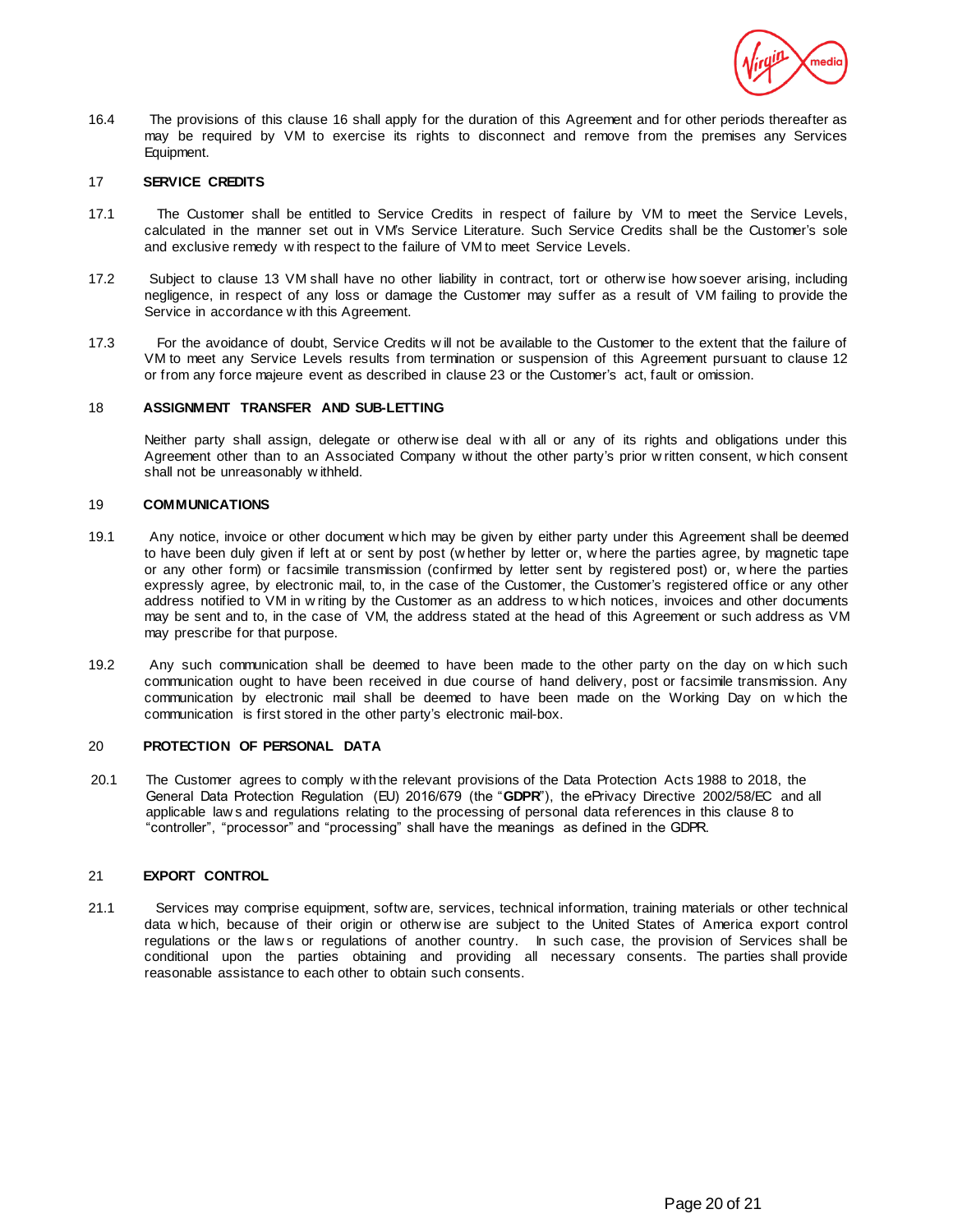

16.4 The provisions of this clause 16 shall apply for the duration of this Agreement and for other periods thereafter as may be required by VM to exercise its rights to disconnect and remove from the premises any Services Equipment.

## 17 **SERVICE CREDITS**

- 17.1 The Customer shall be entitled to Service Credits in respect of failure by VM to meet the Service Levels, calculated in the manner set out in VM's Service Literature. Such Service Credits shall be the Customer's sole and exclusive remedy w ith respect to the failure of VM to meet Service Levels.
- 17.2 Subject to clause 13 VM shall have no other liability in contract, tort or otherw ise how soever arising, including negligence, in respect of any loss or damage the Customer may suffer as a result of VM failing to provide the Service in accordance w ith this Agreement.
- 17.3 For the avoidance of doubt, Service Credits w ill not be available to the Customer to the extent that the failure of VM to meet any Service Levels results from termination or suspension of this Agreement pursuant to clause 12 or from any force majeure event as described in clause 23 or the Customer's act, fault or omission.

#### 18 **ASSIGNMENT TRANSFER AND SUB-LETTING**

Neither party shall assign, delegate or otherw ise deal with all or any of its rights and obligations under this Agreement other than to an Associated Company w ithout the other party's prior w ritten consent, w hich consent shall not be unreasonably w ithheld.

#### 19 **COMMUNICATIONS**

- 19.1 Any notice, invoice or other document w hich may be given by either party under this Agreement shall be deemed to have been duly given if left at or sent by post (w hether by letter or, w here the parties agree, by magnetic tape or any other form) or facsimile transmission (confirmed by letter sent by registered post) or, w here the parties expressly agree, by electronic mail, to, in the case of the Customer, the Customer's registered office or any other address notified to VM in w riting by the Customer as an address to w hich notices, invoices and other documents may be sent and to, in the case of VM, the address stated at the head of this Agreement or such address as VM may prescribe for that purpose.
- 19.2 Any such communication shall be deemed to have been made to the other party on the day on w hich such communication ought to have been received in due course of hand delivery, post or facsimile transmission. Any communication by electronic mail shall be deemed to have been made on the Working Day on w hich the communication is first stored in the other party's electronic mail-box.

### 20 **PROTECTION OF PERSONAL DATA**

20.1 The Customer agrees to comply w ith the relevant provisions of the Data Protection Acts 1988 to 2018, the General Data Protection Regulation (EU) 2016/679 (the "**GDPR**"), the ePrivacy Directive 2002/58/EC and all applicable law s and regulations relating to the processing of personal data references in this clause 8 to "controller", "processor" and "processing" shall have the meanings as defined in the GDPR.

# 21 **EXPORT CONTROL**

21.1 Services may comprise equipment, softw are, services, technical information, training materials or other technical data w hich, because of their origin or otherw ise are subject to the United States of America export control regulations or the law s or regulations of another country. In such case, the provision of Services shall be conditional upon the parties obtaining and providing all necessary consents. The parties shall provide reasonable assistance to each other to obtain such consents.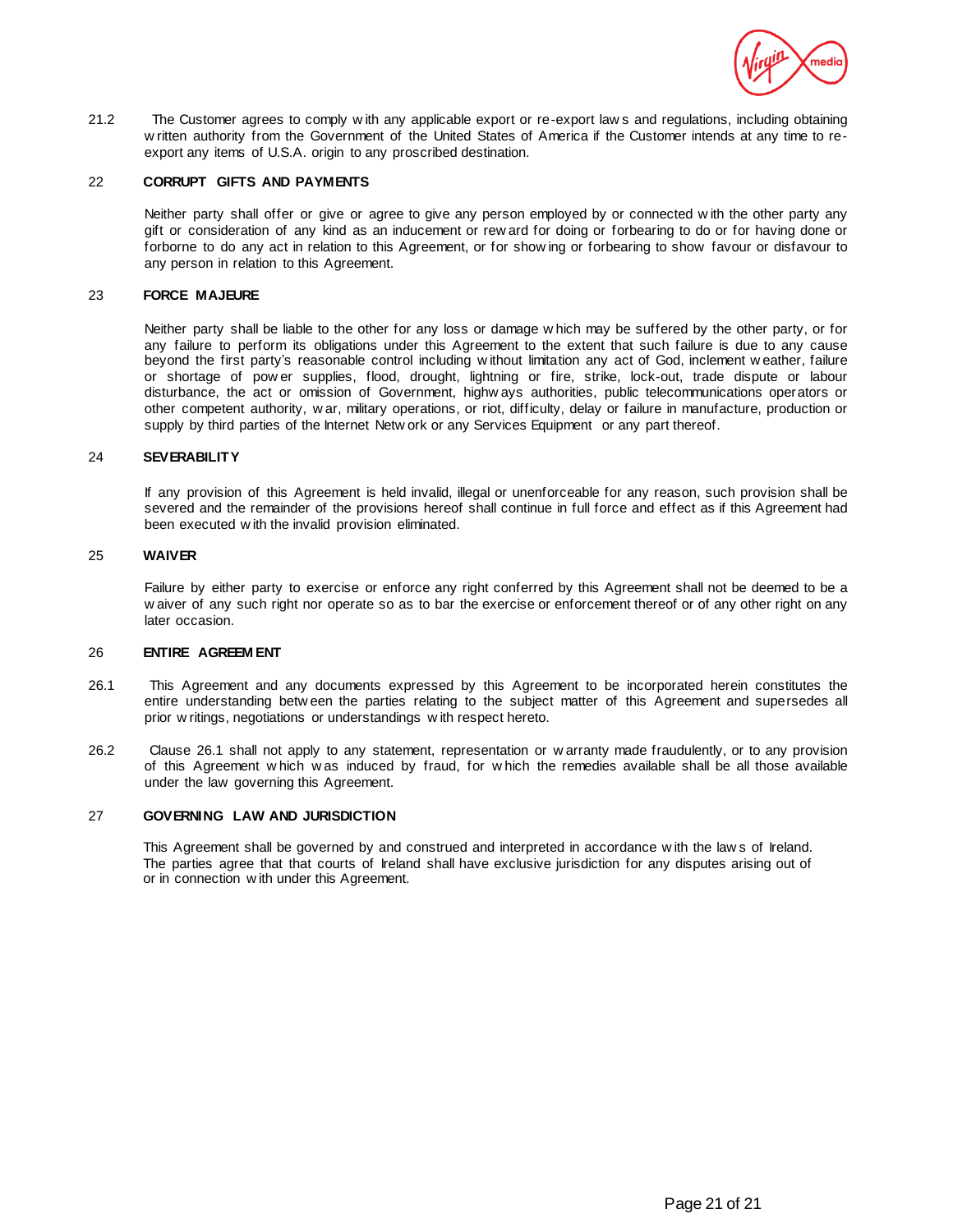

21.2 The Customer agrees to comply w ith any applicable export or re-export law s and regulations, including obtaining w ritten authority from the Government of the United States of America if the Customer intends at any time to reexport any items of U.S.A. origin to any proscribed destination.

#### 22 **CORRUPT GIFTS AND PAYMENTS**

Neither party shall offer or give or agree to give any person employed by or connected w ith the other party any gift or consideration of any kind as an inducement or rew ard for doing or forbearing to do or for having done or forborne to do any act in relation to this Agreement, or for show ing or forbearing to show favour or disfavour to any person in relation to this Agreement.

#### 23 **FORCE MAJEURE**

Neither party shall be liable to the other for any loss or damage w hich may be suffered by the other party, or for any failure to perform its obligations under this Agreement to the extent that such failure is due to any cause beyond the first party's reasonable control including w ithout limitation any act of God, inclement w eather, failure or shortage of pow er supplies, flood, drought, lightning or fire, strike, lock-out, trade dispute or labour disturbance, the act or omission of Government, highw ays authorities, public telecommunications operators or other competent authority, w ar, military operations, or riot, difficulty, delay or failure in manufacture, production or supply by third parties of the Internet Netw ork or any Services Equipment or any part thereof.

#### 24 **SEVERABILITY**

If any provision of this Agreement is held invalid, illegal or unenforceable for any reason, such provision shall be severed and the remainder of the provisions hereof shall continue in full force and effect as if this Agreement had been executed w ith the invalid provision eliminated.

### 25 **WAIVER**

Failure by either party to exercise or enforce any right conferred by this Agreement shall not be deemed to be a w aiver of any such right nor operate so as to bar the exercise or enforcement thereof or of any other right on any later occasion.

#### 26 **ENTIRE AGREEM ENT**

- 26.1 This Agreement and any documents expressed by this Agreement to be incorporated herein constitutes the entire understanding betw een the parties relating to the subject matter of this Agreement and supersedes all prior w ritings, negotiations or understandings w ith respect hereto.
- 26.2 Clause 26.1 shall not apply to any statement, representation or w arranty made fraudulently, or to any provision of this Agreement w hich w as induced by fraud, for w hich the remedies available shall be all those available under the law governing this Agreement.

### 27 **GOVERNING LAW AND JURISDICTION**

This Agreement shall be governed by and construed and interpreted in accordance w ith the law s of Ireland. The parties agree that that courts of Ireland shall have exclusive jurisdiction for any disputes arising out of or in connection w ith under this Agreement.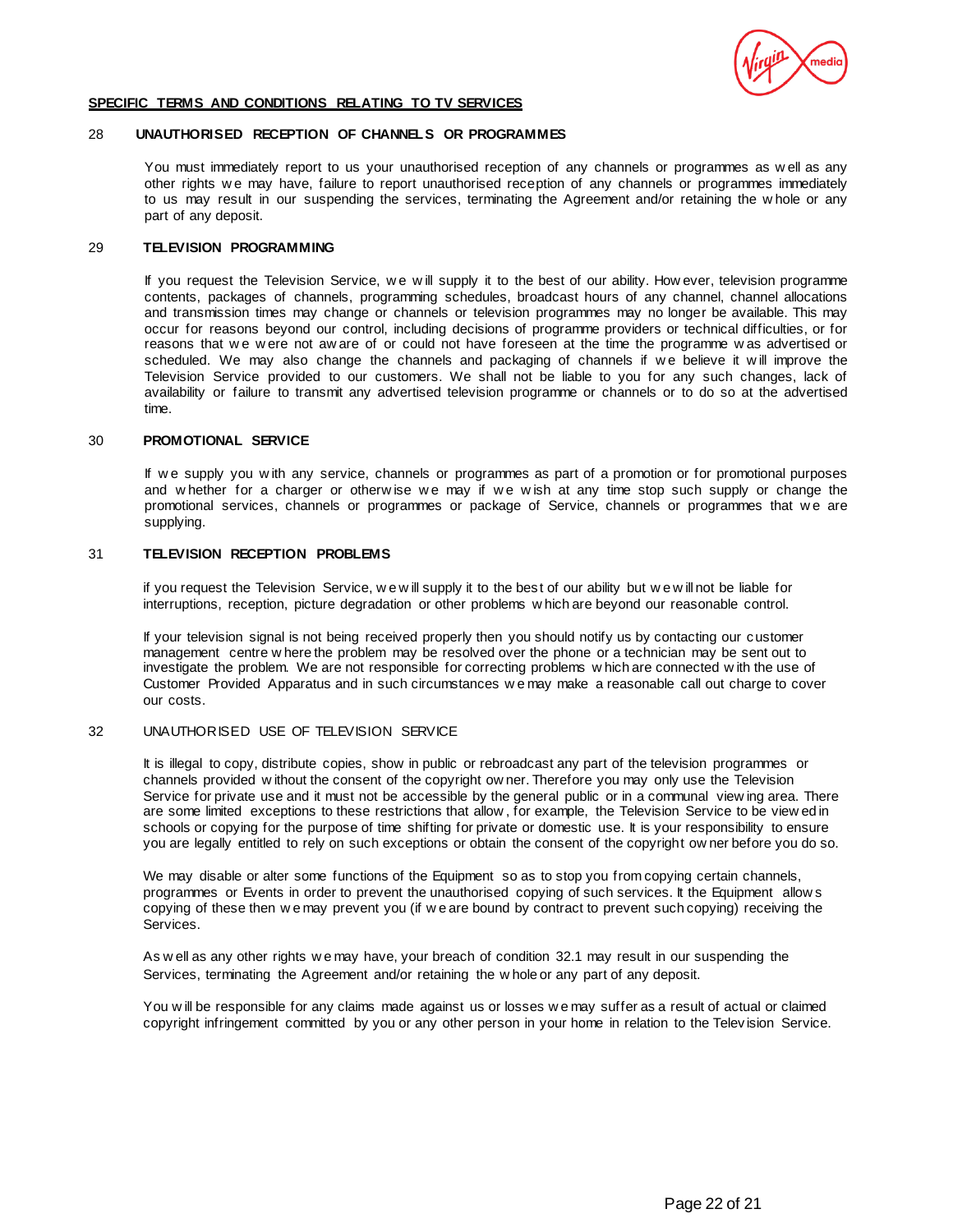

#### **SPECIFIC TERMS AND CONDITIONS RELATING TO TV SERVICES**

### 28 **UNAUTHORISED RECEPTION OF CHANNELS OR PROGRAMMES**

You must immediately report to us your unauthorised reception of any channels or programmes as w ell as any other rights w e may have, failure to report unauthorised reception of any channels or programmes immediately to us may result in our suspending the services, terminating the Agreement and/or retaining the w hole or any part of any deposit.

## 29 **TELEVISION PROGRAMMING**

If you request the Television Service, we will supply it to the best of our ability. How ever, television programme contents, packages of channels, programming schedules, broadcast hours of any channel, channel allocations and transmission times may change or channels or television programmes may no longer be available. This may occur for reasons beyond our control, including decisions of programme providers or technical difficulties, or for reasons that we were not aw are of or could not have foreseen at the time the programme was advertised or scheduled. We may also change the channels and packaging of channels if w e believe it w ill improve the Television Service provided to our customers. We shall not be liable to you for any such changes, lack of availability or failure to transmit any advertised television programme or channels or to do so at the advertised time.

## 30 **PROMOTIONAL SERVICE**

If w e supply you w ith any service, channels or programmes as part of a promotion or for promotional purposes and w hether for a charger or otherwise we may if we wish at any time stop such supply or change the promotional services, channels or programmes or package of Service, channels or programmes that we are supplying.

#### 31 **TELEVISION RECEPTION PROBLEMS**

if you request the Television Service, w e w ill supply it to the bes t of our ability but w e w ill not be liable for interruptions, reception, picture degradation or other problems w hich are beyond our reasonable control.

If your television signal is not being received properly then you should notify us by contacting our customer management centre w here the problem may be resolved over the phone or a technician may be sent out to investigate the problem. We are not responsible for correcting problems w hich are connected w ith the use of Customer Provided Apparatus and in such circumstances w e may make a reasonable call out charge to cover our costs.

#### 32 UNAUTHORISED USE OF TELEVISION SERVICE

It is illegal to copy, distribute copies, show in public or rebroadcast any part of the television programmes or channels provided w ithout the consent of the copyright ow ner. Therefore you may only use the Television Service for private use and it must not be accessible by the general public or in a communal view ing area. There are some limited exceptions to these restrictions that allow , for example, the Television Service to be view ed in schools or copying for the purpose of time shifting for private or domestic use. It is your responsibility to ensure you are legally entitled to rely on such exceptions or obtain the consent of the copyright ow ner before you do so.

We may disable or alter some functions of the Equipment so as to stop you from copying certain channels, programmes or Events in order to prevent the unauthorised copying of such services. It the Equipment allow s copying of these then w e may prevent you (if w e are bound by contract to prevent such copying) receiving the Services.

As w ell as any other rights w e may have, your breach of condition 32.1 may result in our suspending the Services, terminating the Agreement and/or retaining the w hole or any part of any deposit.

You w ill be responsible for any claims made against us or losses w e may suffer as a result of actual or claimed copyright infringement committed by you or any other person in your home in relation to the Telev ision Service.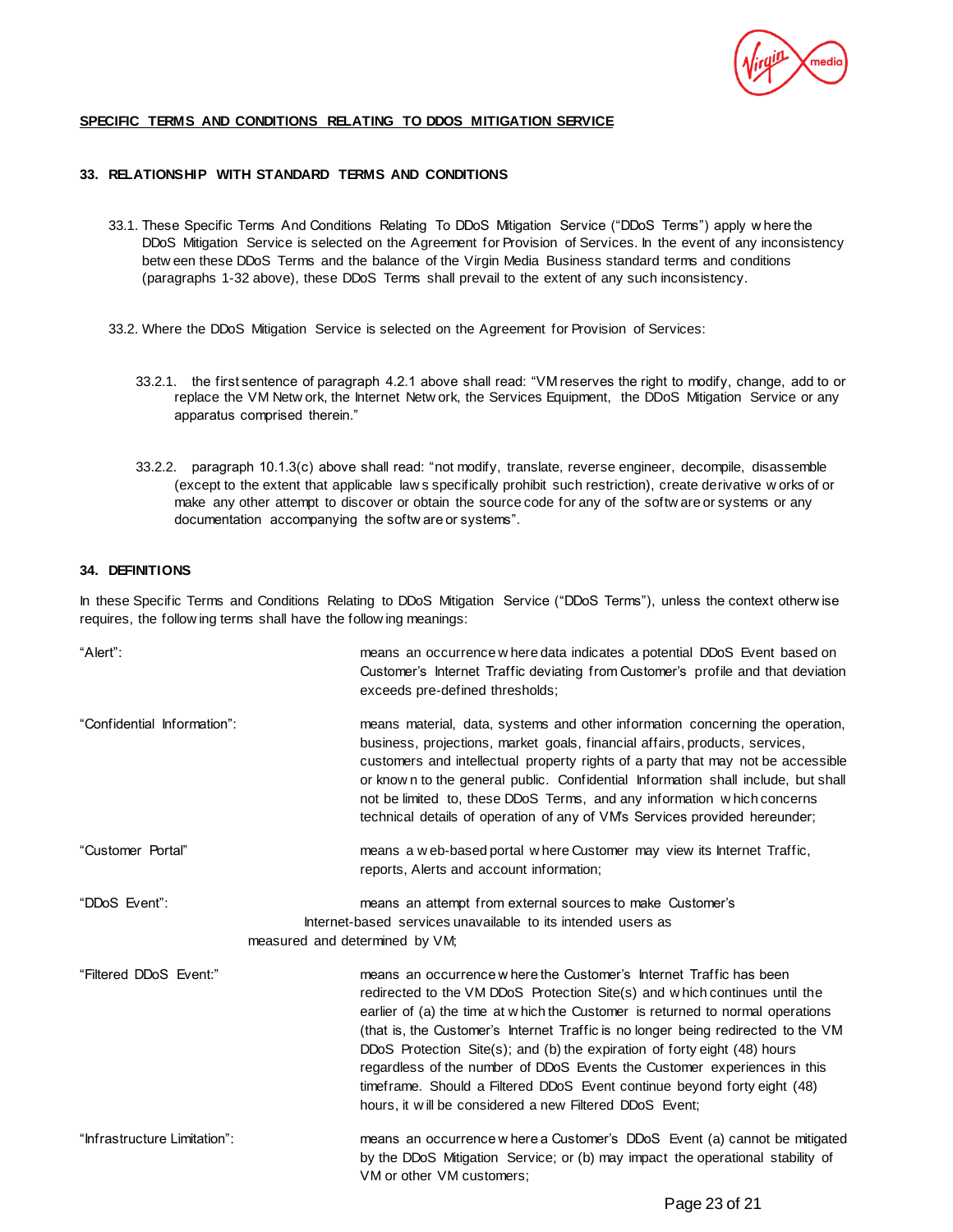# **SPECIFIC TERMS AND CONDITIONS RELATING TO DDOS MITIGATION SERVICE**

# **33. RELATIONSHIP WITH STANDARD TERMS AND CONDITIONS**

- 33.1. These Specific Terms And Conditions Relating To DDoS Mitigation Service ("DDoS Terms") apply w here the DDoS Mitigation Service is selected on the Agreement for Provision of Services. In the event of any inconsistency betw een these DDoS Terms and the balance of the Virgin Media Business standard terms and conditions (paragraphs 1-32 above), these DDoS Terms shall prevail to the extent of any such inconsistency.
- 33.2. Where the DDoS Mitigation Service is selected on the Agreement for Provision of Services:
	- 33.2.1. the first sentence of paragraph 4.2.1 above shall read: "VM reserves the right to modify, change, add to or replace the VM Netw ork, the Internet Netw ork, the Services Equipment, the DDoS Mitigation Service or any apparatus comprised therein."
	- 33.2.2. paragraph 10.1.3(c) above shall read: "not modify, translate, reverse engineer, decompile, disassemble (except to the extent that applicable law s specifically prohibit such restriction), create derivative w orks of or make any other attempt to discover or obtain the source code for any of the softw are or systems or any documentation accompanying the softw are or systems".

# **34. DEFINITIONS**

In these Specific Terms and Conditions Relating to DDoS Mitigation Service ("DDoS Terms"), unless the context otherw ise requires, the follow ing terms shall have the follow ing meanings:

| "Alert":                     | means an occurrence w here data indicates a potential DDoS Event based on<br>Customer's Internet Traffic deviating from Customer's profile and that deviation<br>exceeds pre-defined thresholds;                                                                                                                                                                                                                                                                                                                                                                                                                             |
|------------------------------|------------------------------------------------------------------------------------------------------------------------------------------------------------------------------------------------------------------------------------------------------------------------------------------------------------------------------------------------------------------------------------------------------------------------------------------------------------------------------------------------------------------------------------------------------------------------------------------------------------------------------|
| "Confidential Information":  | means material, data, systems and other information concerning the operation,<br>business, projections, market goals, financial affairs, products, services,<br>customers and intellectual property rights of a party that may not be accessible<br>or known to the general public. Confidential Information shall include, but shall<br>not be limited to, these DDoS Terms, and any information which concerns<br>technical details of operation of any of VM's Services provided hereunder;                                                                                                                               |
| "Customer Portal"            | means a web-based portal where Customer may view its Internet Traffic,<br>reports, Alerts and account information;                                                                                                                                                                                                                                                                                                                                                                                                                                                                                                           |
| "DDoS Event":                | means an attempt from external sources to make Customer's<br>Internet-based services unavailable to its intended users as<br>measured and determined by VM;                                                                                                                                                                                                                                                                                                                                                                                                                                                                  |
| "Filtered DDoS Event:"       | means an occurrence w here the Customer's Internet Traffic has been<br>redirected to the VM DDoS Protection Site(s) and w hich continues until the<br>earlier of (a) the time at w hich the Customer is returned to normal operations<br>(that is, the Customer's Internet Traffic is no longer being redirected to the VM<br>DDoS Protection Site(s); and (b) the expiration of forty eight $(48)$ hours<br>regardless of the number of DDoS Events the Customer experiences in this<br>timeframe. Should a Filtered DDoS Event continue beyond forty eight (48)<br>hours, it will be considered a new Filtered DDoS Event; |
| "Infrastructure Limitation": | means an occurrence w here a Customer's DDoS Event (a) cannot be mitigated<br>by the DDoS Mitigation Service; or (b) may impact the operational stability of<br>VM or other VM customers;                                                                                                                                                                                                                                                                                                                                                                                                                                    |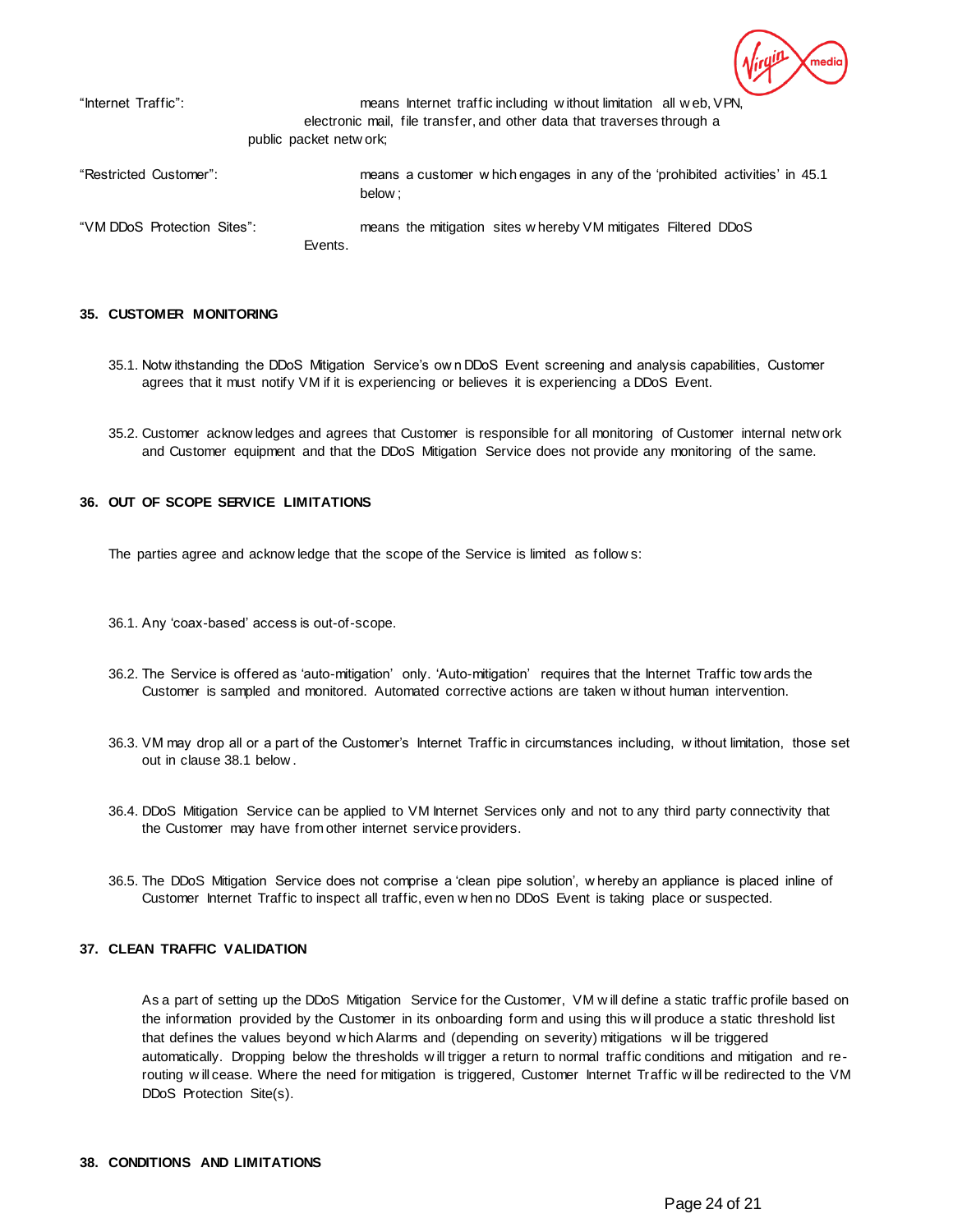"Internet Traffic": means Internet traffic including w ithout limitation all w eb, VPN, electronic mail, file transfer, and other data that traverses through a public packet netw ork; "Restricted Customer": means a customer w hich engages in any of the 'prohibited activities' in [45.1](#page-26-0) below ; "VM DDoS Protection Sites": means the mitigation sites w hereby VM mitigates Filtered DDoS Events.

# **35. CUSTOMER MONITORING**

- 35.1. Notw ithstanding the DDoS Mitigation Service's ow n DDoS Event screening and analysis capabilities, Customer agrees that it must notify VM if it is experiencing or believes it is experiencing a DDoS Event.
- 35.2. Customer acknow ledges and agrees that Customer is responsible for all monitoring of Customer internal netw ork and Customer equipment and that the DDoS Mitigation Service does not provide any monitoring of the same.

# **36. OUT OF SCOPE SERVICE LIMITATIONS**

The parties agree and acknow ledge that the scope of the Service is limited as follow s:

- 36.1. Any 'coax-based' access is out-of-scope.
- 36.2. The Service is offered as 'auto-mitigation' only. 'Auto-mitigation' requires that the Internet Traffic tow ards the Customer is sampled and monitored. Automated corrective actions are taken w ithout human intervention.
- 36.3. VM may drop all or a part of the Customer's Internet Traffic in circumstances including, w ithout limitation, those set out in claus[e 38.1](#page-24-0) below .
- 36.4. DDoS Mitigation Service can be applied to VM Internet Services only and not to any third party connectivity that the Customer may have from other internet service providers.
- 36.5. The DDoS Mitigation Service does not comprise a 'clean pipe solution', w hereby an appliance is placed inline of Customer Internet Traffic to inspect all traffic, even w hen no DDoS Event is taking place or suspected.

# **37. CLEAN TRAFFIC VALIDATION**

As a part of setting up the DDoS Mitigation Service for the Customer, VM w ill define a static traffic profile based on the information provided by the Customer in its onboarding form and using this w ill produce a static threshold list that defines the values beyond w hich Alarms and (depending on severity) mitigations w ill be triggered automatically. Dropping below the thresholds w ill trigger a return to normal traffic conditions and mitigation and rerouting w ill cease. Where the need for mitigation is triggered, Customer Internet Traffic w ill be redirected to the VM DDoS Protection Site(s).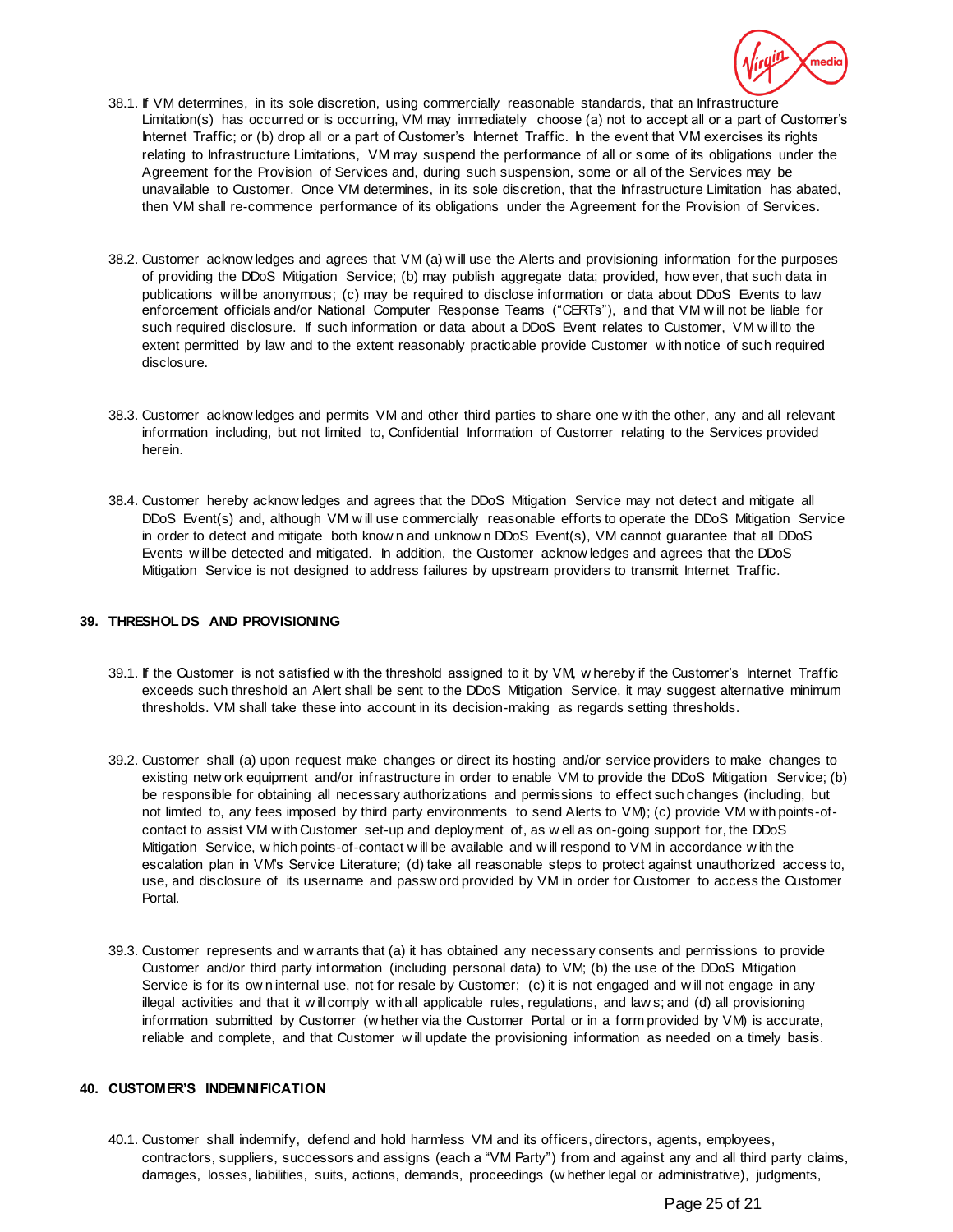

- <span id="page-24-0"></span>38.1. If VM determines, in its sole discretion, using commercially reasonable standards, that an Infrastructure Limitation(s) has occurred or is occurring, VM may immediately choose (a) not to accept all or a part of Customer's Internet Traffic; or (b) drop all or a part of Customer's Internet Traffic. In the event that VM exercises its rights relating to Infrastructure Limitations, VM may suspend the performance of all or some of its obligations under the Agreement for the Provision of Services and, during such suspension, some or all of the Services may be unavailable to Customer. Once VM determines, in its sole discretion, that the Infrastructure Limitation has abated, then VM shall re-commence performance of its obligations under the Agreement for the Provision of Services.
- 38.2. Customer acknow ledges and agrees that VM (a) w ill use the Alerts and provisioning information for the purposes of providing the DDoS Mitigation Service; (b) may publish aggregate data; provided, how ever, that such data in publications w ill be anonymous; (c) may be required to disclose information or data about DDoS Events to law enforcement officials and/or National Computer Response Teams ("CERTs"), and that VM w ill not be liable for such required disclosure. If such information or data about a DDoS Event relates to Customer, VM w ill to the extent permitted by law and to the extent reasonably practicable provide Customer w ith notice of such required disclosure.
- 38.3. Customer acknow ledges and permits VM and other third parties to share one w ith the other, any and all relevant information including, but not limited to, Confidential Information of Customer relating to the Services provided herein.
- 38.4. Customer hereby acknow ledges and agrees that the DDoS Mitigation Service may not detect and mitigate all DDoS Event(s) and, although VM w ill use commercially reasonable efforts to operate the DDoS Mitigation Service in order to detect and mitigate both know n and unknow n DDoS Event(s), VM cannot guarantee that all DDoS Events w ill be detected and mitigated. In addition, the Customer acknow ledges and agrees that the DDoS Mitigation Service is not designed to address failures by upstream providers to transmit Internet Traffic.

# **39. THRESHOLDS AND PROVISIONING**

- 39.1. If the Customer is not satisfied w ith the threshold assigned to it by VM, w hereby if the Customer's Internet Traffic exceeds such threshold an Alert shall be sent to the DDoS Mitigation Service, it may suggest alternative minimum thresholds. VM shall take these into account in its decision-making as regards setting thresholds.
- 39.2. Customer shall (a) upon request make changes or direct its hosting and/or service providers to make changes to existing netw ork equipment and/or infrastructure in order to enable VM to provide the DDoS Mitigation Service; (b) be responsible for obtaining all necessary authorizations and permissions to effect such changes (including, but not limited to, any fees imposed by third party environments to send Alerts to VM); (c) provide VM w ith points-ofcontact to assist VM w ith Customer set-up and deployment of, as w ell as on-going support for, the DDoS Mitigation Service, w hich points-of-contact w ill be available and w ill respond to VM in accordance w ith the escalation plan in VM's Service Literature; (d) take all reasonable steps to protect against unauthorized access to, use, and disclosure of its username and passw ord provided by VM in order for Customer to access the Customer Portal.
- 39.3. Customer represents and w arrants that (a) it has obtained any necessary consents and permissions to provide Customer and/or third party information (including personal data) to VM; (b) the use of the DDoS Mitigation Service is for its ow n internal use, not for resale by Customer; (c) it is not engaged and will not engage in any illegal activities and that it w ill comply w ith all applicable rules, regulations, and law s; and (d) all provisioning information submitted by Customer (w hether via the Customer Portal or in a form provided by VM) is accurate, reliable and complete, and that Customer w ill update the provisioning information as needed on a timely basis.

# **40. CUSTOMER'S INDEMNIFICATION**

<span id="page-24-1"></span>40.1. Customer shall indemnify, defend and hold harmless VM and its officers, directors, agents, employees, contractors, suppliers, successors and assigns (each a "VM Party") from and against any and all third party claims, damages, losses, liabilities, suits, actions, demands, proceedings (w hether legal or administrative), judgments,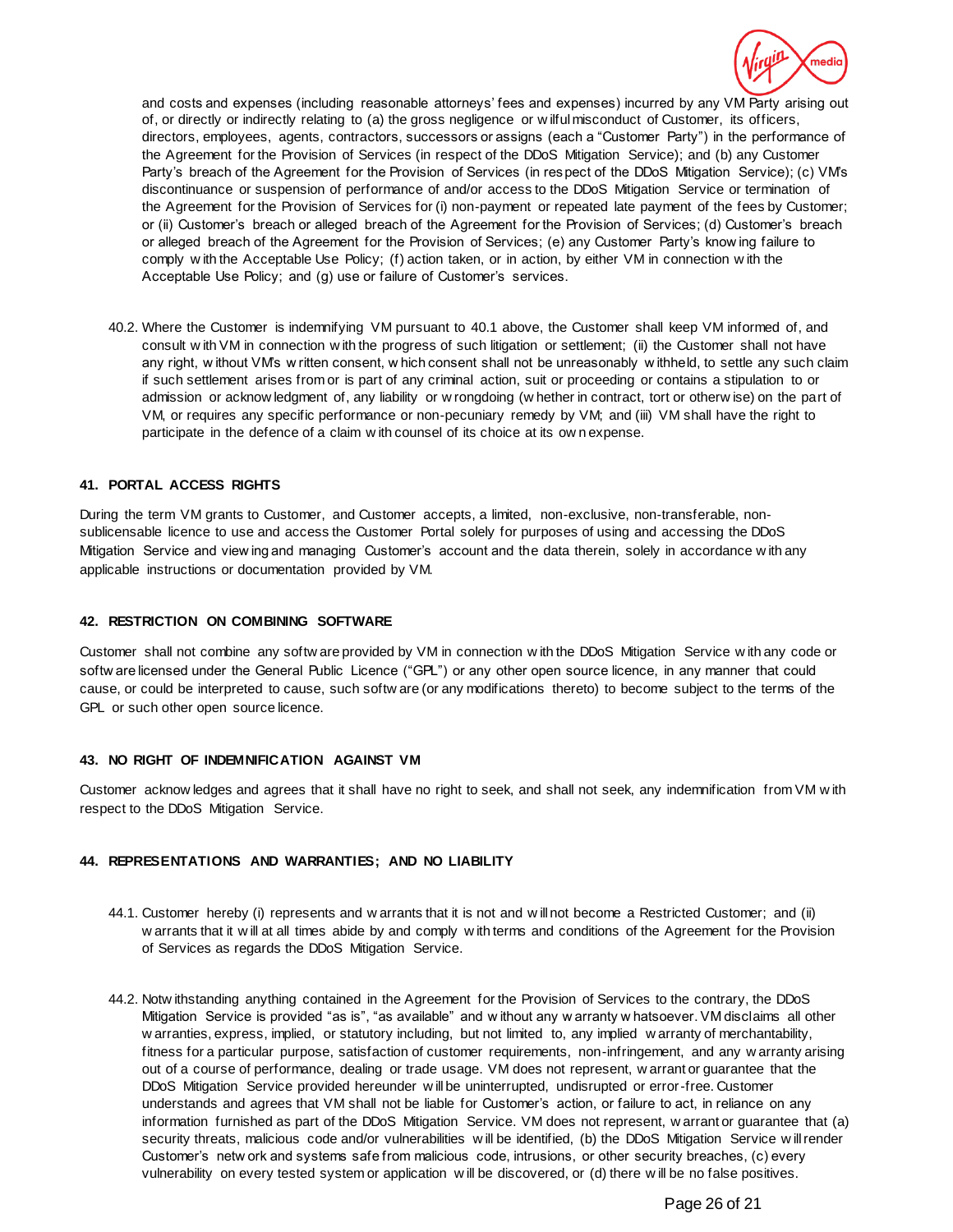

and costs and expenses (including reasonable attorneys' fees and expenses) incurred by any VM Party arising out of, or directly or indirectly relating to (a) the gross negligence or w ilful misconduct of Customer, its officers, directors, employees, agents, contractors, successors or assigns (each a "Customer Party") in the performance of the Agreement for the Provision of Services (in respect of the DDoS Mitigation Service); and (b) any Customer Party's breach of the Agreement for the Provision of Services (in respect of the DDoS Mitigation Service); (c) VM's discontinuance or suspension of performance of and/or access to the DDoS Mitigation Service or termination of the Agreement for the Provision of Services for (i) non-payment or repeated late payment of the fees by Customer; or (ii) Customer's breach or alleged breach of the Agreement for the Provision of Services; (d) Customer's breach or alleged breach of the Agreement for the Provision of Services; (e) any Customer Party's know ing failure to comply w ith the Acceptable Use Policy; (f) action taken, or in action, by either VM in connection w ith the Acceptable Use Policy; and (g) use or failure of Customer's services.

40.2. Where the Customer is indemnifying VM pursuant t[o 40.1](#page-24-1) above, the Customer shall keep VM informed of, and consult w ith VM in connection w ith the progress of such litigation or settlement; (ii) the Customer shall not have any right, w ithout VM's w ritten consent, w hich consent shall not be unreasonably w ithheld, to settle any such claim if such settlement arises from or is part of any criminal action, suit or proceeding or contains a stipulation to or admission or acknow ledgment of, any liability or w rongdoing (w hether in contract, tort or otherw ise) on the part of VM, or requires any specific performance or non-pecuniary remedy by VM; and (iii) VM shall have the right to participate in the defence of a claim w ith counsel of its choice at its ow n expense.

# **41. PORTAL ACCESS RIGHTS**

During the term VM grants to Customer, and Customer accepts, a limited, non-exclusive, non-transferable, nonsublicensable licence to use and access the Customer Portal solely for purposes of using and accessing the DDoS Mitigation Service and view ing and managing Customer's account and the data therein, solely in accordance w ith any applicable instructions or documentation provided by VM.

### **42. RESTRICTION ON COMBINING SOFTWARE**

Customer shall not combine any softw are provided by VM in connection w ith the DDoS Mitigation Service w ith any code or softw are licensed under the General Public Licence ("GPL") or any other open source licence, in any manner that could cause, or could be interpreted to cause, such softw are (or any modifications thereto) to become subject to the terms of the GPL or such other open source licence.

# **43. NO RIGHT OF INDEMNIFICATION AGAINST VM**

Customer acknow ledges and agrees that it shall have no right to seek, and shall not seek, any indemnification from VM w ith respect to the DDoS Mitigation Service.

### **44. REPRESENTATIONS AND WARRANTIES; AND NO LIABILITY**

- 44.1. Customer hereby (i) represents and w arrants that it is not and w ill not become a Restricted Customer; and (ii) w arrants that it w ill at all times abide by and comply w ith terms and conditions of the Agreement for the Provision of Services as regards the DDoS Mitigation Service.
- 44.2. Notw ithstanding anything contained in the Agreement for the Provision of Services to the contrary, the DDoS Mitigation Service is provided "as is", "as available" and w ithout any w arranty w hatsoever. VM disclaims all other w arranties, express, implied, or statutory including, but not limited to, any implied w arranty of merchantability, fitness for a particular purpose, satisfaction of customer requirements, non-infringement, and any w arranty arising out of a course of performance, dealing or trade usage. VM does not represent, w arrant or guarantee that the DDoS Mitigation Service provided hereunder w ill be uninterrupted, undisrupted or error-free. Customer understands and agrees that VM shall not be liable for Customer's action, or failure to act, in reliance on any information furnished as part of the DDoS Mitigation Service. VM does not represent, w arrant or guarantee that (a) security threats, malicious code and/or vulnerabilities w ill be identified, (b) the DDoS Mitigation Service w ill render Customer's netw ork and systems safe from malicious code, intrusions, or other security breaches, (c) every vulnerability on every tested system or application w ill be discovered, or (d) there w ill be no false positives.